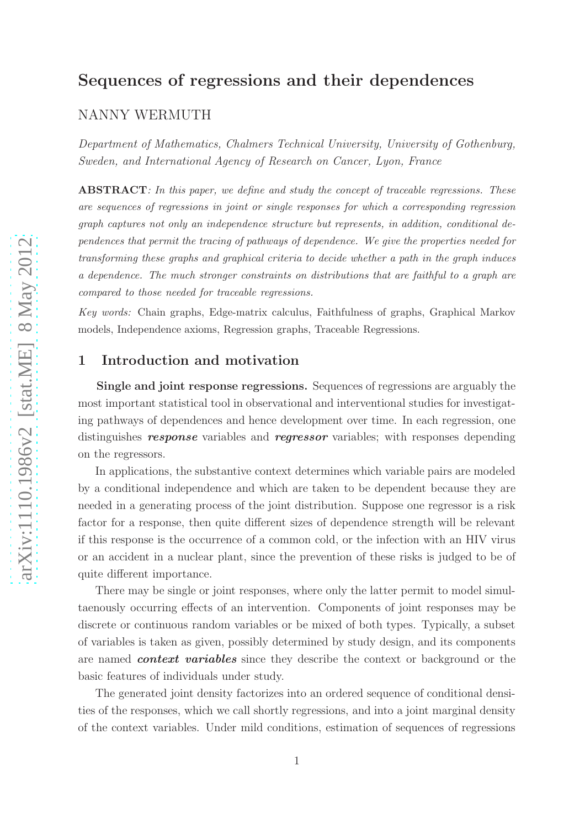# Sequences of regressions and their dependences

# NANNY WERMUTH

*Department of Mathematics, Chalmers Technical University, University of Gothenburg, Sweden, and International Agency of Research on Cancer, Lyon, France*

ABSTRACT*: In this paper, we define and study the concept of traceable regressions. These are sequences of regressions in joint or single responses for which a corresponding regression graph captures not only an independence structure but represents, in addition, conditional dependences that permit the tracing of pathways of dependence. We give the properties needed for transforming these graphs and graphical criteria to decide whether a path in the graph induces a dependence. The much stronger constraints on distributions that are faithful to a graph are compared to those needed for traceable regressions.*

*Key words:* Chain graphs, Edge-matrix calculus, Faithfulness of graphs, Graphical Markov models, Independence axioms, Regression graphs, Traceable Regressions.

### 1 Introduction and motivation

Single and joint response regressions. Sequences of regressions are arguably the most important statistical tool in observational and interventional studies for investigating pathways of dependences and hence development over time. In each regression, one distinguishes **response** variables and **regressor** variables; with responses depending on the regressors.

In applications, the substantive context determines which variable pairs are modeled by a conditional independence and which are taken to be dependent because they are needed in a generating process of the joint distribution. Suppose one regressor is a risk factor for a response, then quite different sizes of dependence strength will be relevant if this response is the occurrence of a common cold, or the infection with an HIV virus or an accident in a nuclear plant, since the prevention of these risks is judged to be of quite different importance.

There may be single or joint responses, where only the latter permit to model simultaenously occurring effects of an intervention. Components of joint responses may be discrete or continuous random variables or be mixed of both types. Typically, a subset of variables is taken as given, possibly determined by study design, and its components are named **context variables** since they describe the context or background or the basic features of individuals under study.

The generated joint density factorizes into an ordered sequence of conditional densities of the responses, which we call shortly regressions, and into a joint marginal density of the context variables. Under mild conditions, estimation of sequences of regressions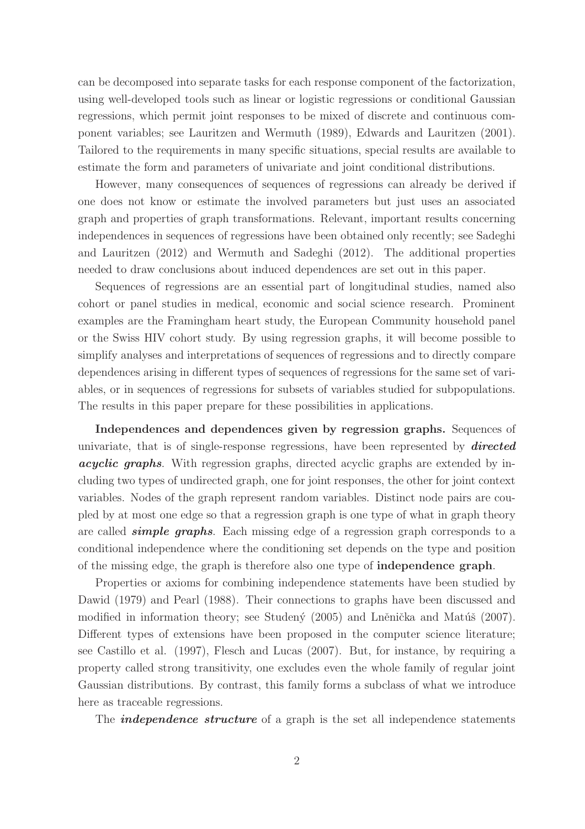can be decomposed into separate tasks for each response component of the factorization, using well-developed tools such as linear or logistic regressions or conditional Gaussian regressions, which permit joint responses to be mixed of discrete and continuous component variables; see Lauritzen and Wermuth (1989), Edwards and Lauritzen (2001). Tailored to the requirements in many specific situations, special results are available to estimate the form and parameters of univariate and joint conditional distributions.

However, many consequences of sequences of regressions can already be derived if one does not know or estimate the involved parameters but just uses an associated graph and properties of graph transformations. Relevant, important results concerning independences in sequences of regressions have been obtained only recently; see Sadeghi and Lauritzen (2012) and Wermuth and Sadeghi (2012). The additional properties needed to draw conclusions about induced dependences are set out in this paper.

Sequences of regressions are an essential part of longitudinal studies, named also cohort or panel studies in medical, economic and social science research. Prominent examples are the Framingham heart study, the European Community household panel or the Swiss HIV cohort study. By using regression graphs, it will become possible to simplify analyses and interpretations of sequences of regressions and to directly compare dependences arising in different types of sequences of regressions for the same set of variables, or in sequences of regressions for subsets of variables studied for subpopulations. The results in this paper prepare for these possibilities in applications.

Independences and dependences given by regression graphs. Sequences of univariate, that is of single-response regressions, have been represented by **directed** acyclic graphs. With regression graphs, directed acyclic graphs are extended by including two types of undirected graph, one for joint responses, the other for joint context variables. Nodes of the graph represent random variables. Distinct node pairs are coupled by at most one edge so that a regression graph is one type of what in graph theory are called *simple graphs*. Each missing edge of a regression graph corresponds to a conditional independence where the conditioning set depends on the type and position of the missing edge, the graph is therefore also one type of independence graph.

Properties or axioms for combining independence statements have been studied by Dawid (1979) and Pearl (1988). Their connections to graphs have been discussed and modified in information theory; see Studený (2005) and Lněnička and Matúš (2007). Different types of extensions have been proposed in the computer science literature; see Castillo et al. (1997), Flesch and Lucas (2007). But, for instance, by requiring a property called strong transitivity, one excludes even the whole family of regular joint Gaussian distributions. By contrast, this family forms a subclass of what we introduce here as traceable regressions.

The *independence structure* of a graph is the set all independence statements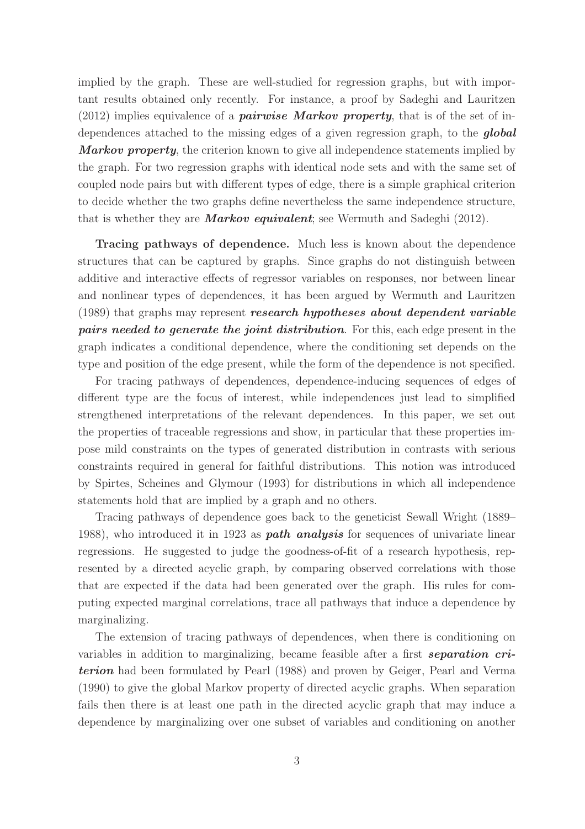implied by the graph. These are well-studied for regression graphs, but with important results obtained only recently. For instance, a proof by Sadeghi and Lauritzen  $(2012)$  implies equivalence of a **pairwise Markov property**, that is of the set of independences attached to the missing edges of a given regression graph, to the **global Markov property**, the criterion known to give all independence statements implied by the graph. For two regression graphs with identical node sets and with the same set of coupled node pairs but with different types of edge, there is a simple graphical criterion to decide whether the two graphs define nevertheless the same independence structure, that is whether they are **Markov equivalent**; see Wermuth and Sadeghi  $(2012)$ .

Tracing pathways of dependence. Much less is known about the dependence structures that can be captured by graphs. Since graphs do not distinguish between additive and interactive effects of regressor variables on responses, nor between linear and nonlinear types of dependences, it has been argued by Wermuth and Lauritzen  $(1989)$  that graphs may represent research hypotheses about dependent variable pairs needed to generate the joint distribution. For this, each edge present in the graph indicates a conditional dependence, where the conditioning set depends on the type and position of the edge present, while the form of the dependence is not specified.

For tracing pathways of dependences, dependence-inducing sequences of edges of different type are the focus of interest, while independences just lead to simplified strengthened interpretations of the relevant dependences. In this paper, we set out the properties of traceable regressions and show, in particular that these properties impose mild constraints on the types of generated distribution in contrasts with serious constraints required in general for faithful distributions. This notion was introduced by Spirtes, Scheines and Glymour (1993) for distributions in which all independence statements hold that are implied by a graph and no others.

Tracing pathways of dependence goes back to the geneticist Sewall Wright (1889– 1988), who introduced it in 1923 as **path analysis** for sequences of univariate linear regressions. He suggested to judge the goodness-of-fit of a research hypothesis, represented by a directed acyclic graph, by comparing observed correlations with those that are expected if the data had been generated over the graph. His rules for computing expected marginal correlations, trace all pathways that induce a dependence by marginalizing.

The extension of tracing pathways of dependences, when there is conditioning on variables in addition to marginalizing, became feasible after a first **separation cri**terion had been formulated by Pearl (1988) and proven by Geiger, Pearl and Verma (1990) to give the global Markov property of directed acyclic graphs. When separation fails then there is at least one path in the directed acyclic graph that may induce a dependence by marginalizing over one subset of variables and conditioning on another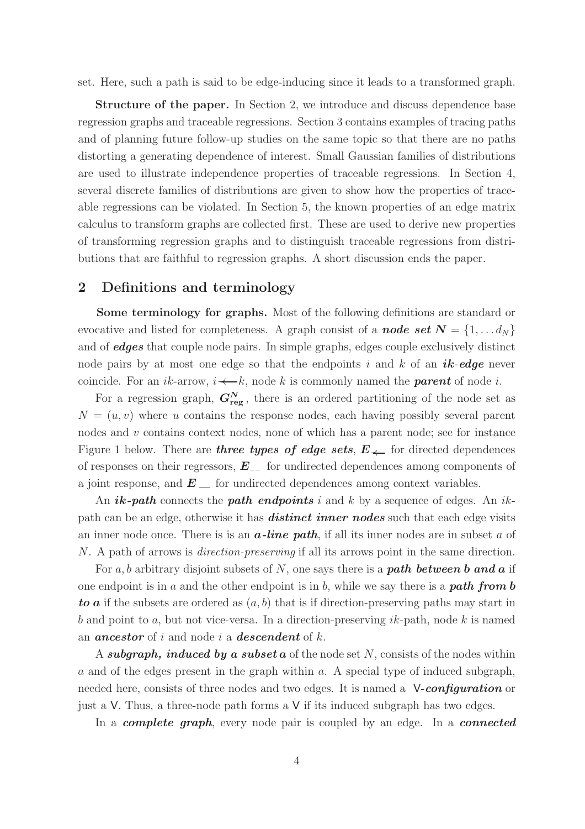set. Here, such a path is said to be edge-inducing since it leads to a transformed graph.

Structure of the paper. In Section 2, we introduce and discuss dependence base regression graphs and traceable regressions. Section 3 contains examples of tracing paths and of planning future follow-up studies on the same topic so that there are no paths distorting a generating dependence of interest. Small Gaussian families of distributions are used to illustrate independence properties of traceable regressions. In Section 4, several discrete families of distributions are given to show how the properties of traceable regressions can be violated. In Section 5, the known properties of an edge matrix calculus to transform graphs are collected first. These are used to derive new properties of transforming regression graphs and to distinguish traceable regressions from distributions that are faithful to regression graphs. A short discussion ends the paper.

### 2 Definitions and terminology

Some terminology for graphs. Most of the following definitions are standard or evocative and listed for completeness. A graph consist of a **node set**  $N = \{1, \ldots d_N\}$ and of edges that couple node pairs. In simple graphs, edges couple exclusively distinct node pairs by at most one edge so that the endpoints i and k of an  $ik$ -edge never coincide. For an *ik*-arrow,  $i \leftarrow k$ , node k is commonly named the **parent** of node i.

For a regression graph,  $G_{reg}^N$ , there is an ordered partitioning of the node set as  $N = (u, v)$  where u contains the response nodes, each having possibly several parent nodes and  $v$  contains context nodes, none of which has a parent node; see for instance Figure 1 below. There are three types of edge sets,  $E_{\nightharpoonup}$  for directed dependences of responses on their regressors,  $E_{-}$  for undirected dependences among components of a joint response, and  $E_{\perp}$  for undirected dependences among context variables.

An *ik-path* connects the *path endpoints* i and k by a sequence of edges. An ikpath can be an edge, otherwise it has **distinct inner nodes** such that each edge visits an inner node once. There is is an  $a$ -line path, if all its inner nodes are in subset a of N. A path of arrows is *direction-preserving* if all its arrows point in the same direction.

For a, b arbitrary disjoint subsets of N, one says there is a **path between b and a** if one endpoint is in a and the other endpoint is in b, while we say there is a **path from b** to a if the subsets are ordered as  $(a, b)$  that is if direction-preserving paths may start in b and point to a, but not vice-versa. In a direction-preserving  $ik$ -path, node k is named an **ancestor** of i and node i a **descendent** of  $k$ .

A subgraph, induced by a subset a of the node set N, consists of the nodes within a and of the edges present in the graph within a. A special type of induced subgraph, needed here, consists of three nodes and two edges. It is named a  $V\text{-}\text{configuration}$  or just a V. Thus, a three-node path forms a V if its induced subgraph has two edges.

In a *complete graph*, every node pair is coupled by an edge. In a *connected*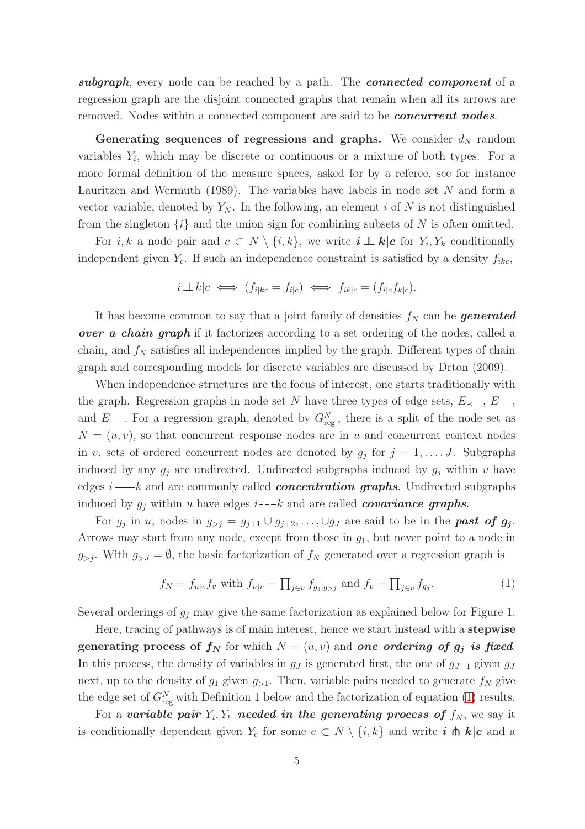subgraph, every node can be reached by a path. The **connected component** of a regression graph are the disjoint connected graphs that remain when all its arrows are removed. Nodes within a connected component are said to be *concurrent nodes*.

Generating sequences of regressions and graphs. We consider  $d_N$  random variables  $Y_i$ , which may be discrete or continuous or a mixture of both types. For a more formal definition of the measure spaces, asked for by a referee, see for instance Lauritzen and Wermuth (1989). The variables have labels in node set  $N$  and form a vector variable, denoted by  $Y_N$ . In the following, an element i of N is not distinguished from the singleton  $\{i\}$  and the union sign for combining subsets of N is often omitted.

For *i*, k a node pair and  $c \subset N \setminus \{i,k\}$ , we write  $i \perp k | c$  for  $Y_i, Y_k$  conditionally independent given  $Y_c$ . If such an independence constraint is satisfied by a density  $f_{ikc}$ ,

$$
i \perp \!\!\!\perp k|c \iff (f_{i|kc} = f_{i|c}) \iff f_{ik|c} = (f_{i|c}f_{k|c}).
$$

It has become common to say that a joint family of densities  $f_N$  can be **generated** over a chain graph if it factorizes according to a set ordering of the nodes, called a chain, and  $f_N$  satisfies all independences implied by the graph. Different types of chain graph and corresponding models for discrete variables are discussed by Drton (2009).

When independence structures are the focus of interest, one starts traditionally with the graph. Regression graphs in node set N have three types of edge sets,  $E_{\leftarrow}$ ,  $E_{\leftarrow}$ , and  $E$ . For a regression graph, denoted by  $G_{\text{reg}}^{N}$ , there is a split of the node set as  $N = (u, v)$ , so that concurrent response nodes are in u and concurrent context nodes in v, sets of ordered concurrent nodes are denoted by  $g_j$  for  $j = 1, \ldots, J$ . Subgraphs induced by any  $g_j$  are undirected. Undirected subgraphs induced by  $g_j$  within v have edges  $i \longrightarrow k$  and are commonly called *concentration graphs*. Undirected subgraphs induced by  $g_j$  within u have edges  $i---k$  and are called **covariance graphs**.

For  $g_j$  in u, nodes in  $g_{>j} = g_{j+1} \cup g_{j+2}, \ldots, \cup g_J$  are said to be in the **past of**  $g_j$ . Arrows may start from any node, except from those in  $g_1$ , but never point to a node in  $g_{>j}$ . With  $g_{>J} = \emptyset$ , the basic factorization of  $f_N$  generated over a regression graph is

<span id="page-4-0"></span>
$$
f_N = f_{u|v} f_v \text{ with } f_{u|v} = \prod_{j \in u} f_{g_j|g_{>j}} \text{ and } f_v = \prod_{j \in v} f_{g_j}.
$$
 (1)

Several orderings of  $g_i$  may give the same factorization as explained below for Figure 1.

Here, tracing of pathways is of main interest, hence we start instead with a stepwise generating process of  $f_N$  for which  $N = (u, v)$  and one ordering of  $g_j$  is fixed. In this process, the density of variables in  $g_J$  is generated first, the one of  $g_{J-1}$  given  $g_J$ next, up to the density of  $g_1$  given  $g_{>1}$ . Then, variable pairs needed to generate  $f_N$  give the edge set of  $G_{\text{reg}}^N$  with Definition 1 below and the factorization of equation [\(1\)](#page-4-0) results.

For a variable pair  $Y_i, Y_k$  needed in the generating process of  $f_N$ , we say it is conditionally dependent given  $Y_c$  for some  $c \subset N \setminus \{i,k\}$  and write  $i \uparrow k | c$  and a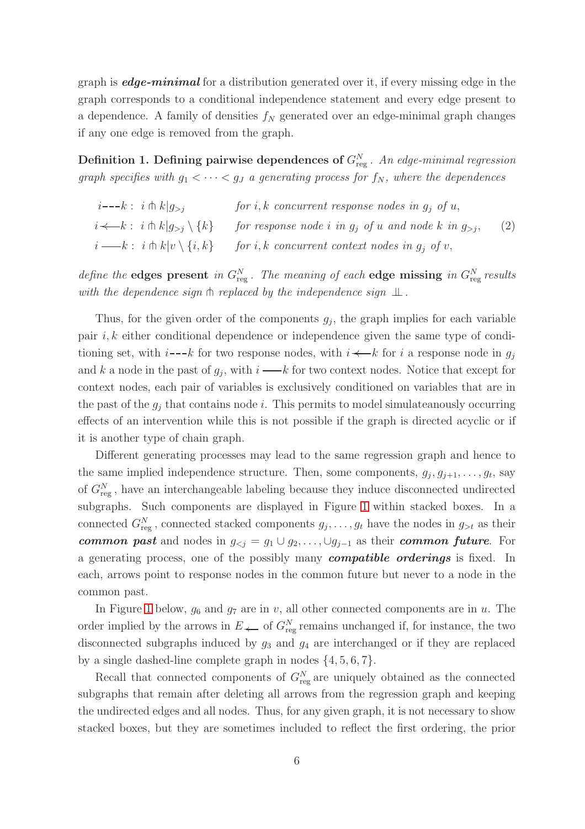graph is *edge-minimal* for a distribution generated over it, if every missing edge in the graph corresponds to a conditional independence statement and every edge present to a dependence. A family of densities  $f_N$  generated over an edge-minimal graph changes if any one edge is removed from the graph.

Definition 1. Defining pairwise dependences of  $G_{\text{reg}}^N$  *. An edge-minimal regression graph specifies with*  $g_1 < \cdots < g_J$  *a generating process for*  $f_N$ *, where the dependences* 

 $i$ --- $k$ :  $i \, \mathop{\pitchfork} k |g_{>j}$  *for*  $i, k$  *concurrent response nodes in*  $g_j$  *of*  $u$ , *i*  $\leftarrow$  *k* : *i* ⋔ *k*| $g_{>j} \setminus \{k\}$  *for response node i in*  $g_j$  *of u and node k in*  $g_{>j}$ , (2)  $i \longrightarrow k : i \pitchfork k |v \setminus \{i, k\}$  *for*  $i, k$  *concurrent context nodes in g<sub>j</sub> of v*,

*define the* edges present *in*  $G_{reg}^N$ . The meaning of each edge missing *in*  $G_{reg}^N$  results with the dependence sign  $\uparrow$  n *replaced by the independence sign*  $\perp$ .

Thus, for the given order of the components  $g_j$ , the graph implies for each variable pair  $i, k$  either conditional dependence or independence given the same type of conditioning set, with i---k for two response nodes, with  $i \leftarrow k$  for i a response node in  $g_i$ and k a node in the past of  $g_j$ , with  $i \longrightarrow k$  for two context nodes. Notice that except for context nodes, each pair of variables is exclusively conditioned on variables that are in the past of the  $g_i$  that contains node i. This permits to model simulateanously occurring effects of an intervention while this is not possible if the graph is directed acyclic or if it is another type of chain graph.

Different generating processes may lead to the same regression graph and hence to the same implied independence structure. Then, some components,  $g_j, g_{j+1}, \ldots, g_t$ , say of  $G_{\text{reg}}^N$ , have an interchangeable labeling because they induce disconnected undirected subgraphs. Such components are displayed in Figure [1](#page-6-0) within stacked boxes. In a connected  $G_{reg}^N$ , connected stacked components  $g_j, \ldots, g_t$  have the nodes in  $g_{>t}$  as their common past and nodes in  $g_{\leq j} = g_1 \cup g_2, \ldots, \bigcup g_{j-1}$  as their common future. For a generating process, one of the possibly many *compatible orderings* is fixed. In each, arrows point to response nodes in the common future but never to a node in the common past.

In Figure [1](#page-6-0) below,  $g_6$  and  $g_7$  are in v, all other connected components are in u. The order implied by the arrows in  $E_{\nless}$  of  $G_{\text{reg}}^N$  remains unchanged if, for instance, the two disconnected subgraphs induced by  $g_3$  and  $g_4$  are interchanged or if they are replaced by a single dashed-line complete graph in nodes  $\{4, 5, 6, 7\}$ .

Recall that connected components of  $G_{reg}^N$  are uniquely obtained as the connected subgraphs that remain after deleting all arrows from the regression graph and keeping the undirected edges and all nodes. Thus, for any given graph, it is not necessary to show stacked boxes, but they are sometimes included to reflect the first ordering, the prior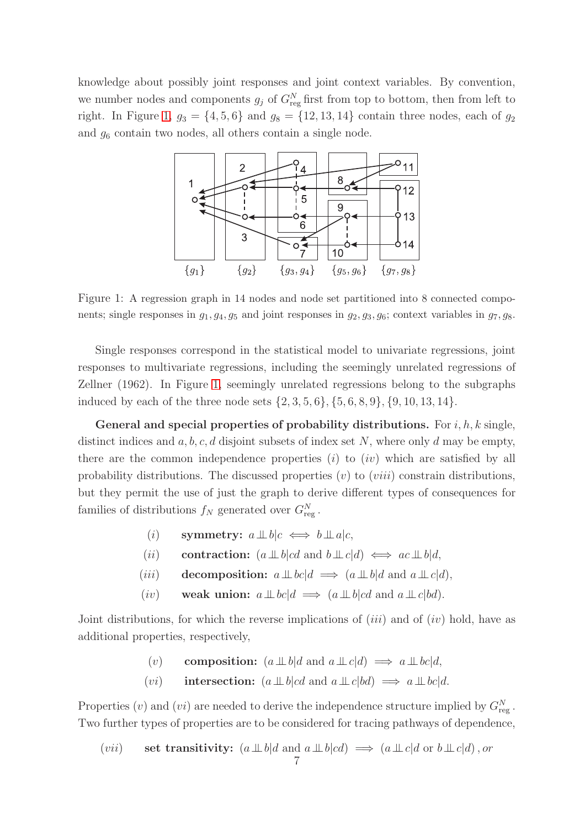knowledge about possibly joint responses and joint context variables. By convention, we number nodes and components  $g_j$  of  $G_{\text{reg}}^N$  first from top to bottom, then from left to right. In Figure [1,](#page-6-0)  $g_3 = \{4, 5, 6\}$  and  $g_8 = \{12, 13, 14\}$  contain three nodes, each of  $g_2$ and  $g_6$  contain two nodes, all others contain a single node.



<span id="page-6-0"></span>Figure 1: A regression graph in 14 nodes and node set partitioned into 8 connected components; single responses in  $g_1, g_4, g_5$  and joint responses in  $g_2, g_3, g_6$ ; context variables in  $g_7, g_8$ .

Single responses correspond in the statistical model to univariate regressions, joint responses to multivariate regressions, including the seemingly unrelated regressions of Zellner (1962). In Figure [1,](#page-6-0) seemingly unrelated regressions belong to the subgraphs induced by each of the three node sets  $\{2, 3, 5, 6\}, \{5, 6, 8, 9\}, \{9, 10, 13, 14\}$ .

General and special properties of probability distributions. For i, h, k single, distinct indices and  $a, b, c, d$  disjoint subsets of index set N, where only d may be empty, there are the common independence properties  $(i)$  to  $(iv)$  which are satisfied by all probability distributions. The discussed properties  $(v)$  to  $(viii)$  constrain distributions, but they permit the use of just the graph to derive different types of consequences for families of distributions  $f_N$  generated over  $G_{\text{reg}}^N$ .

- (i) symmetry:  $a \perp b \mid c \iff b \perp a \mid c$ ,
- (ii) contraction:  $(a \perp b|cd$  and  $b \perp c|d) \iff ac \perp b|d$ ,
- (iii) decomposition:  $a \perp\!\!\!\perp bc | d \implies (a \perp\!\!\!\perp b | d \text{ and } a \perp\!\!\!\perp c | d),$
- (iv) weak union:  $a \perp\!\!\!\perp bc | d \implies (a \perp\!\!\!\perp b | cd \text{ and } a \perp\!\!\!\perp c | bd).$

Joint distributions, for which the reverse implications of (*iii*) and of (*iv*) hold, have as additional properties, respectively,

(v) composition:  $(a \perp b | d \text{ and } a \perp c | d) \implies a \perp b c | d$ ,

(vi) intersection:  $(a \perp \!\!\!\perp b|cd$  and  $a \perp \!\!\!\perp c|bd) \implies a \perp \!\!\!\perp bc|d$ .

Properties  $(v)$  and  $(vi)$  are needed to derive the independence structure implied by  $G_{\text{reg}}^N$ . Two further types of properties are to be considered for tracing pathways of dependence,

(vii) set transitivity:  $(a \perp b | d \text{ and } a \perp b | cd) \implies (a \perp c | d \text{ or } b \perp c | d)$ , or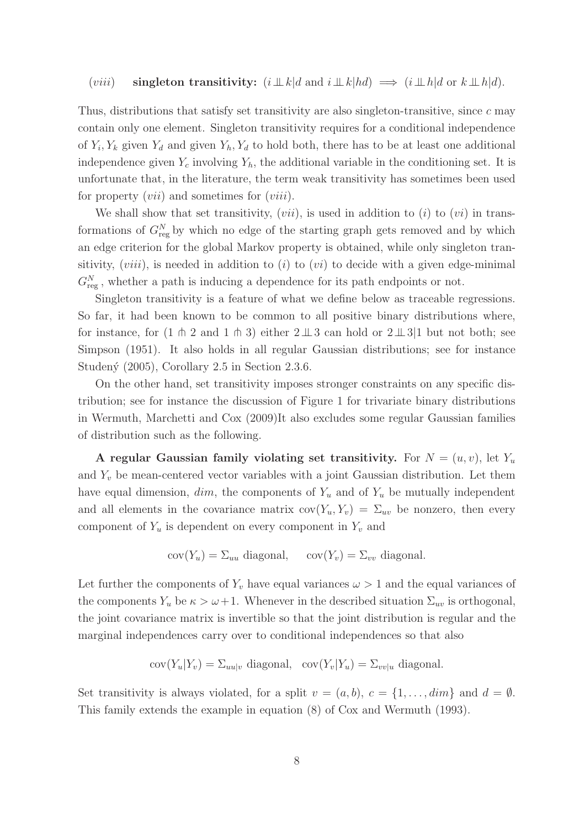#### (viii) singleton transitivity:  $(i \perp k | d \text{ and } i \perp k | hd) \implies (i \perp h | d \text{ or } k \perp h | d).$

Thus, distributions that satisfy set transitivity are also singleton-transitive, since  $c$  may contain only one element. Singleton transitivity requires for a conditional independence of  $Y_i, Y_k$  given  $Y_d$  and given  $Y_h, Y_d$  to hold both, there has to be at least one additional independence given  $Y_c$  involving  $Y_h$ , the additional variable in the conditioning set. It is unfortunate that, in the literature, the term weak transitivity has sometimes been used for property  $(vii)$  and sometimes for  $(viii)$ .

We shall show that set transitivity,  $(vii)$ , is used in addition to  $(i)$  to  $(vi)$  in transformations of  $G_{reg}^N$  by which no edge of the starting graph gets removed and by which an edge criterion for the global Markov property is obtained, while only singleton transitivity,  $(viii)$ , is needed in addition to (i) to  $(vi)$  to decide with a given edge-minimal  $G_{\text{reg}}^N$ , whether a path is inducing a dependence for its path endpoints or not.

Singleton transitivity is a feature of what we define below as traceable regressions. So far, it had been known to be common to all positive binary distributions where, for instance, for  $(1 \uparrow 2$  and  $1 \uparrow 3)$  either  $2 \perp 3$  can hold or  $2 \perp 3$ |1 but not both; see Simpson (1951). It also holds in all regular Gaussian distributions; see for instance Studený  $(2005)$ , Corollary 2.5 in Section 2.3.6.

On the other hand, set transitivity imposes stronger constraints on any specific distribution; see for instance the discussion of Figure 1 for trivariate binary distributions in Wermuth, Marchetti and Cox (2009)It also excludes some regular Gaussian families of distribution such as the following.

A regular Gaussian family violating set transitivity. For  $N = (u, v)$ , let  $Y_u$ and  $Y_v$  be mean-centered vector variables with a joint Gaussian distribution. Let them have equal dimension,  $dim$ , the components of  $Y_u$  and of  $Y_u$  be mutually independent and all elements in the covariance matrix  $cov(Y_u, Y_v) = \Sigma_{uv}$  be nonzero, then every component of  $Y_u$  is dependent on every component in  $Y_v$  and

$$
cov(Y_u) = \Sigma_{uu}
$$
 diagonal,  $cov(Y_v) = \Sigma_{vv}$  diagonal.

Let further the components of  $Y_v$  have equal variances  $\omega > 1$  and the equal variances of the components  $Y_u$  be  $\kappa > \omega + 1$ . Whenever in the described situation  $\Sigma_{uv}$  is orthogonal, the joint covariance matrix is invertible so that the joint distribution is regular and the marginal independences carry over to conditional independences so that also

 $cov(Y_u|Y_v) = \sum_{uu|v}$  diagonal,  $cov(Y_v|Y_u) = \sum_{wu|u}$  diagonal.

Set transitivity is always violated, for a split  $v = (a, b)$ ,  $c = \{1, \ldots, dim\}$  and  $d = \emptyset$ . This family extends the example in equation (8) of Cox and Wermuth (1993).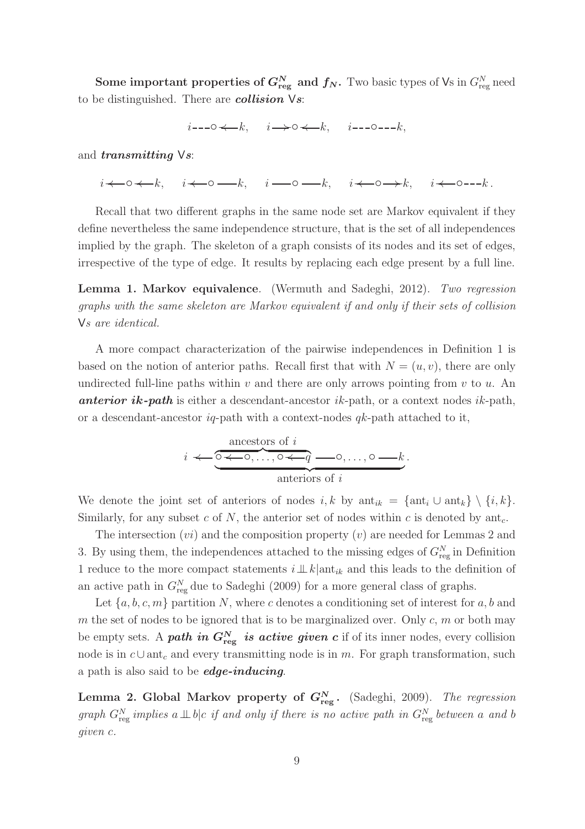Some important properties of  $G_{\text{reg}}^N$  and  $f_N$ . Two basic types of Vs in  $G_{\text{reg}}^N$  need to be distinguished. There are **collision**  $\forall s$ :

 $i$ --- $\circ \leftarrow k, \quad i \rightarrow \circ \leftarrow k, \quad i \leftarrow -\circ \circ -\circ k,$ 

and transmitting Vs:

 $i \leftarrow o \leftarrow k, \quad i \leftarrow o \leftarrow k, \quad i \leftarrow o \leftarrow k, \quad i \leftarrow o \leftarrow k.$ 

Recall that two different graphs in the same node set are Markov equivalent if they define nevertheless the same independence structure, that is the set of all independences implied by the graph. The skeleton of a graph consists of its nodes and its set of edges, irrespective of the type of edge. It results by replacing each edge present by a full line.

Lemma 1. Markov equivalence*.* (Wermuth and Sadeghi, 2012). *Two regression graphs with the same skeleton are Markov equivalent if and only if their sets of collision* V*s are identical.*

A more compact characterization of the pairwise independences in Definition 1 is based on the notion of anterior paths. Recall first that with  $N = (u, v)$ , there are only undirected full-line paths within  $v$  and there are only arrows pointing from  $v$  to  $u$ . An **anterior ik-path** is either a descendant-ancestor ik-path, or a context nodes ik-path, or a descendant-ancestor  $iq$ -path with a context-nodes  $qk$ -path attached to it,

$$
i \leftarrow \underbrace{\overbrace{\circ \leftarrow \circ, \dots, \circ \leftarrow q}_{\text{anteriors of } i} - \circ, \dots, \circ -k}_{\text{anteriors of } i}.
$$

We denote the joint set of anteriors of nodes i, k by  $\text{ant}_{ik} = \{\text{ant}_i \cup \text{ant}_k\} \setminus \{i, k\}.$ Similarly, for any subset c of N, the anterior set of nodes within c is denoted by ant<sub>c</sub>.

The intersection  $(v_i)$  and the composition property  $(v)$  are needed for Lemmas 2 and 3. By using them, the independences attached to the missing edges of  $G_{reg}^N$  in Definition 1 reduce to the more compact statements  $i \perp k |$ ant<sub>ik</sub> and this leads to the definition of an active path in  $G_{\text{reg}}^N$  due to Sadeghi (2009) for a more general class of graphs.

Let  $\{a, b, c, m\}$  partition N, where c denotes a conditioning set of interest for a, b and m the set of nodes to be ignored that is to be marginalized over. Only c, m or both may be empty sets. A *path in*  $G_{\text{reg}}^N$  *is active given c* if of its inner nodes, every collision node is in  $c \cup ant_c$  and every transmitting node is in m. For graph transformation, such a path is also said to be *edge-inducing*.

Lemma 2. Global Markov property of  $G_{reg}^N$ . (Sadeghi, 2009). *The regression*  $graph\ G_{\text{reg}}^N$  *implies*  $a \perp\!\!\!\perp b | c$  *if and only if there is no active path in*  $G_{\text{reg}}^N$  *between* a *and b given* c*.*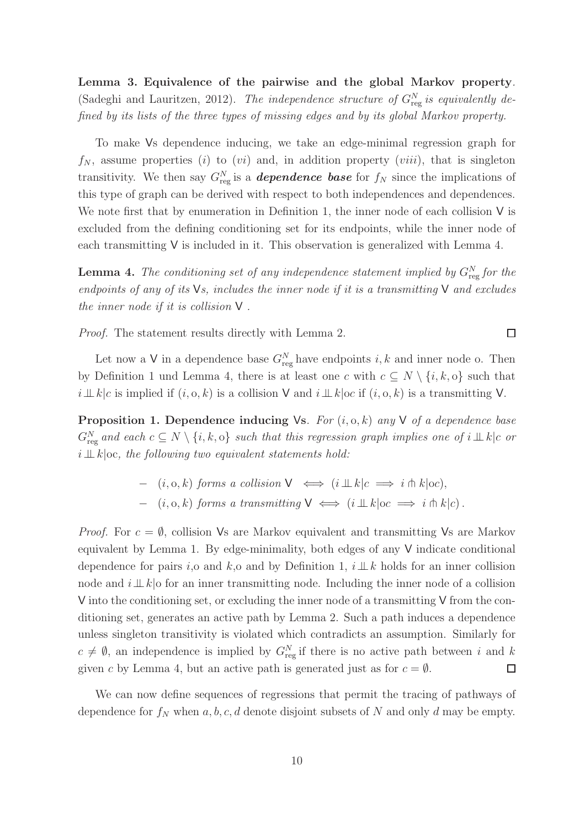Lemma 3. Equivalence of the pairwise and the global Markov property*.* (Sadeghi and Lauritzen, 2012). The independence structure of  $G_{\text{reg}}^N$  is equivalently de*fined by its lists of the three types of missing edges and by its global Markov property.*

To make Vs dependence inducing, we take an edge-minimal regression graph for  $f_N$ , assume properties (i) to (vi) and, in addition property (viii), that is singleton transitivity. We then say  $G_{\text{reg}}^N$  is a **dependence base** for  $f_N$  since the implications of this type of graph can be derived with respect to both independences and dependences. We note first that by enumeration in Definition 1, the inner node of each collision V is excluded from the defining conditioning set for its endpoints, while the inner node of each transmitting V is included in it. This observation is generalized with Lemma 4.

**Lemma 4.** The conditioning set of any independence statement implied by  $G_{\text{reg}}^N$  for the *endpoints of any of its* V*s, includes the inner node if it is a transmitting* V *and excludes the inner node if it is collision* V *.*

 $\Box$ 

*Proof.* The statement results directly with Lemma 2.

Let now a V in a dependence base  $G_{reg}^N$  have endpoints  $i, k$  and inner node o. Then by Definition 1 und Lemma 4, there is at least one c with  $c \subseteq N \setminus \{i, k, o\}$  such that  $i \perp k | c$  is implied if  $(i, o, k)$  is a collision V and  $i \perp k | oc$  if  $(i, o, k)$  is a transmitting V.

Proposition 1. Dependence inducing Vs*. For* (i, o, k) *any* V *of a dependence base*  $G_{\text{reg}}^N$  and each  $c \subseteq N \setminus \{i, k, o\}$  such that this regression graph implies one of  $i \perp\!\!\!\perp k | c$  or i ⊥⊥ k|oc*, the following two equivalent statements hold:*

\n- \n
$$
(i, o, k)
$$
 forms a collision  $\mathsf{V} \iff (i \perp k | c \implies i \pitchfork k | oc),$ \n
\n- \n $(i, o, k)$  forms a transmitting  $\mathsf{V} \iff (i \perp k | oc \implies i \pitchfork k | c).$ \n
\n

*Proof.* For  $c = \emptyset$ , collision Vs are Markov equivalent and transmitting Vs are Markov equivalent by Lemma 1. By edge-minimality, both edges of any V indicate conditional dependence for pairs i,o and k,o and by Definition 1,  $i \perp k$  holds for an inner collision node and  $i \perp k$  of or an inner transmitting node. Including the inner node of a collision V into the conditioning set, or excluding the inner node of a transmitting V from the conditioning set, generates an active path by Lemma 2. Such a path induces a dependence unless singleton transitivity is violated which contradicts an assumption. Similarly for  $c \neq \emptyset$ , an independence is implied by  $G_{reg}^N$  if there is no active path between i and k given c by Lemma 4, but an active path is generated just as for  $c = \emptyset$ .  $\Box$ 

We can now define sequences of regressions that permit the tracing of pathways of dependence for  $f_N$  when  $a, b, c, d$  denote disjoint subsets of N and only d may be empty.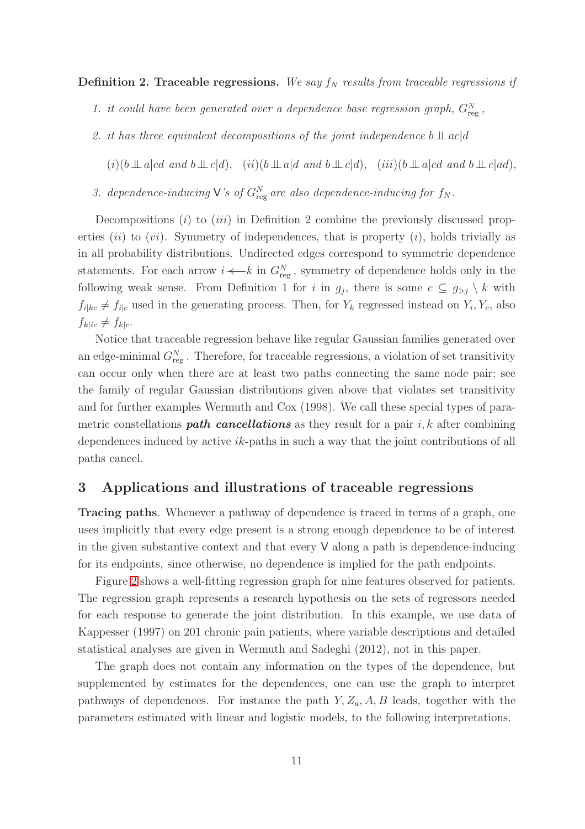**Definition 2. Traceable regressions.** We say  $f_N$  results from traceable regressions if

- *1. it could have been generated over a dependence base regression graph,*  $G_{\text{reg}}^{N}$ ,
- 2. it has three equivalent decompositions of the joint independence b ⊥<sub>ac</sub>|d

 $(i)(b \perp a|cd \text{ and } b \perp \perp c|d), \quad (ii)(b \perp a|d \text{ and } b \perp \perp c|d), \quad (iii)(b \perp a|cd \text{ and } b \perp \perp c|ad),$ 

3. dependence-inducing  $V$ 's of  $G_{reg}^N$  are also dependence-inducing for  $f_N$ .

Decompositions  $(i)$  to  $(iii)$  in Definition 2 combine the previously discussed properties (ii) to (vi). Symmetry of independences, that is property (i), holds trivially as in all probability distributions. Undirected edges correspond to symmetric dependence statements. For each arrow  $i \leftarrow k$  in  $G_{reg}^N$ , symmetry of dependence holds only in the following weak sense. From Definition 1 for i in  $g_j$ , there is some  $c \subseteq g_{>j} \setminus k$  with  $f_{i|kc} \neq f_{i|c}$  used in the generating process. Then, for  $Y_k$  regressed instead on  $Y_i, Y_c$ , also  $f_{k|ic} \neq f_{k|c}.$ 

Notice that traceable regression behave like regular Gaussian families generated over an edge-minimal  $G_{\text{reg}}^N$ . Therefore, for traceable regressions, a violation of set transitivity can occur only when there are at least two paths connecting the same node pair; see the family of regular Gaussian distributions given above that violates set transitivity and for further examples Wermuth and Cox (1998). We call these special types of parametric constellations **path cancellations** as they result for a pair  $i, k$  after combining dependences induced by active ik-paths in such a way that the joint contributions of all paths cancel.

## 3 Applications and illustrations of traceable regressions

Tracing paths. Whenever a pathway of dependence is traced in terms of a graph, one uses implicitly that every edge present is a strong enough dependence to be of interest in the given substantive context and that every  $V$  along a path is dependence-inducing for its endpoints, since otherwise, no dependence is implied for the path endpoints.

Figure [2](#page-11-0) shows a well-fitting regression graph for nine features observed for patients. The regression graph represents a research hypothesis on the sets of regressors needed for each response to generate the joint distribution. In this example, we use data of Kappesser (1997) on 201 chronic pain patients, where variable descriptions and detailed statistical analyses are given in Wermuth and Sadeghi (2012), not in this paper.

The graph does not contain any information on the types of the dependence, but supplemented by estimates for the dependences, one can use the graph to interpret pathways of dependences. For instance the path  $Y, Z_a, A, B$  leads, together with the parameters estimated with linear and logistic models, to the following interpretations.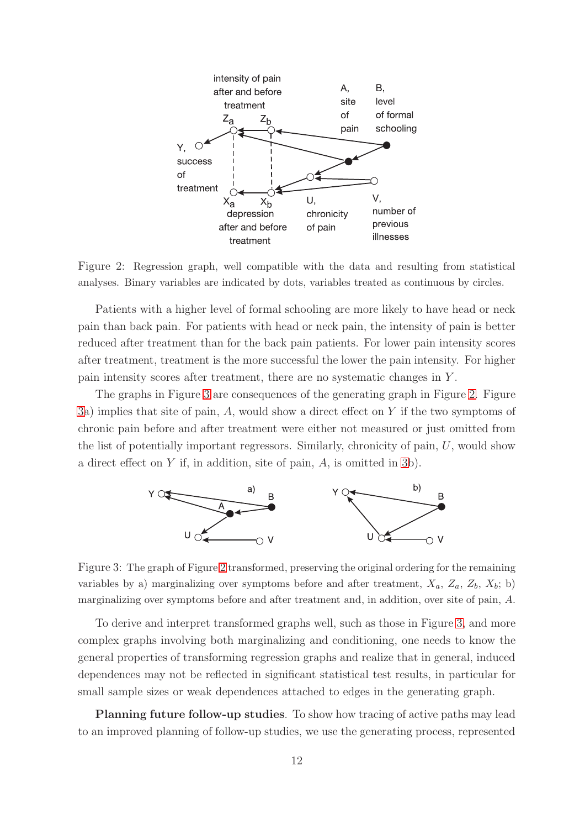

<span id="page-11-0"></span>Figure 2: Regression graph, well compatible with the data and resulting from statistical analyses. Binary variables are indicated by dots, variables treated as continuous by circles.

Patients with a higher level of formal schooling are more likely to have head or neck pain than back pain. For patients with head or neck pain, the intensity of pain is better reduced after treatment than for the back pain patients. For lower pain intensity scores after treatment, treatment is the more successful the lower the pain intensity. For higher pain intensity scores after treatment, there are no systematic changes in Y .

The graphs in Figure [3](#page-11-1) are consequences of the generating graph in Figure [2.](#page-11-0) Figure [3a](#page-11-1)) implies that site of pain, A, would show a direct effect on Y if the two symptoms of chronic pain before and after treatment were either not measured or just omitted from the list of potentially important regressors. Similarly, chronicity of pain,  $U$ , would show a direct effect on Y if, in addition, site of pain, A, is omitted in [3b](#page-11-1)).



<span id="page-11-1"></span>Figure 3: The graph of Figure [2](#page-11-0) transformed, preserving the original ordering for the remaining variables by a) marginalizing over symptoms before and after treatment,  $X_a$ ,  $Z_a$ ,  $Z_b$ ,  $X_b$ ; b) marginalizing over symptoms before and after treatment and, in addition, over site of pain, A.

To derive and interpret transformed graphs well, such as those in Figure [3,](#page-11-1) and more complex graphs involving both marginalizing and conditioning, one needs to know the general properties of transforming regression graphs and realize that in general, induced dependences may not be reflected in significant statistical test results, in particular for small sample sizes or weak dependences attached to edges in the generating graph.

Planning future follow-up studies. To show how tracing of active paths may lead to an improved planning of follow-up studies, we use the generating process, represented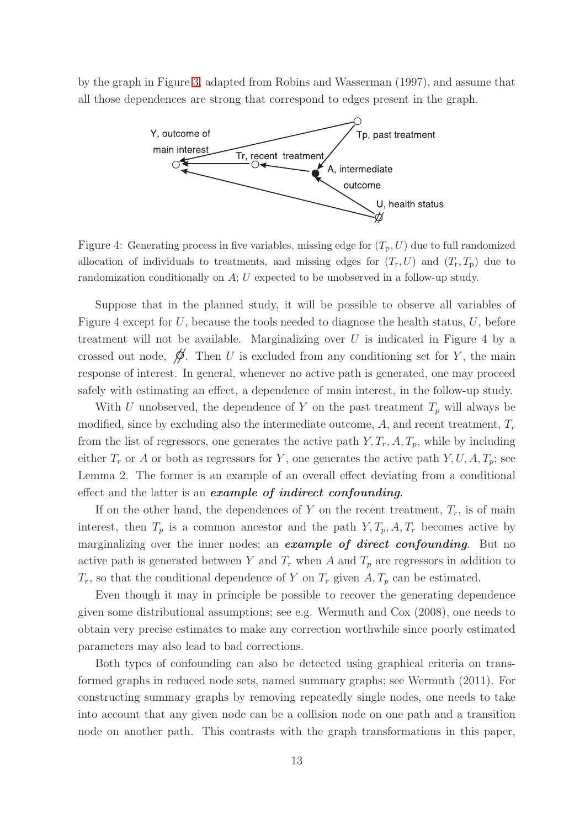by the graph in Figure [3,](#page-11-1) adapted from Robins and Wasserman (1997), and assume that all those dependences are strong that correspond to edges present in the graph.



Figure 4: Generating process in five variables, missing edge for  $(T_p, U)$  due to full randomized allocation of individuals to treatments, and missing edges for  $(T_r, U)$  and  $(T_r, T_p)$  due to randomization conditionally on A; U expected to be unobserved in a follow-up study.

Suppose that in the planned study, it will be possible to observe all variables of Figure 4 except for U, because the tools needed to diagnose the health status,  $U$ , before treatment will not be available. Marginalizing over  $U$  is indicated in Figure 4 by a crossed out node,  $\cancel{\phi}$ . Then U is excluded from any conditioning set for Y, the main response of interest. In general, whenever no active path is generated, one may proceed safely with estimating an effect, a dependence of main interest, in the follow-up study.

With U unobserved, the dependence of Y on the past treatment  $T_p$  will always be modified, since by excluding also the intermediate outcome,  $A$ , and recent treatment,  $T_r$ from the list of regressors, one generates the active path  $Y, T_r, A, T_p$ , while by including either  $T_r$  or A or both as regressors for Y, one generates the active path  $Y, U, A, T_p$ ; see Lemma 2. The former is an example of an overall effect deviating from a conditional effect and the latter is an *example of indirect confounding*.

If on the other hand, the dependences of Y on the recent treatment,  $T_r$ , is of main interest, then  $T_p$  is a common ancestor and the path  $Y, T_p, A, T_r$  becomes active by marginalizing over the inner nodes; an example of direct confounding. But no active path is generated between Y and  $T_r$  when A and  $T_p$  are regressors in addition to  $T_r$ , so that the conditional dependence of Y on  $T_r$  given  $A, T_p$  can be estimated.

Even though it may in principle be possible to recover the generating dependence given some distributional assumptions; see e.g. Wermuth and Cox (2008), one needs to obtain very precise estimates to make any correction worthwhile since poorly estimated parameters may also lead to bad corrections.

Both types of confounding can also be detected using graphical criteria on transformed graphs in reduced node sets, named summary graphs; see Wermuth (2011). For constructing summary graphs by removing repeatedly single nodes, one needs to take into account that any given node can be a collision node on one path and a transition node on another path. This contrasts with the graph transformations in this paper,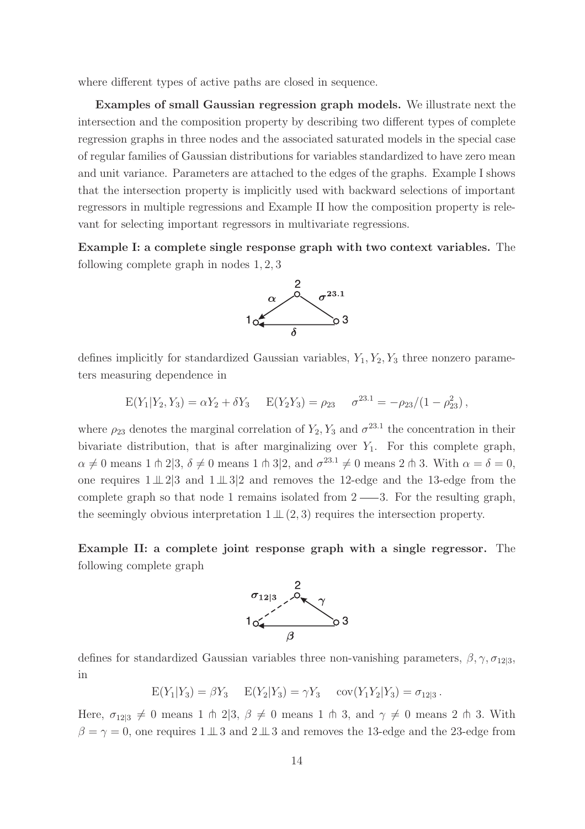where different types of active paths are closed in sequence.

Examples of small Gaussian regression graph models. We illustrate next the intersection and the composition property by describing two different types of complete regression graphs in three nodes and the associated saturated models in the special case of regular families of Gaussian distributions for variables standardized to have zero mean and unit variance. Parameters are attached to the edges of the graphs. Example I shows that the intersection property is implicitly used with backward selections of important regressors in multiple regressions and Example II how the composition property is relevant for selecting important regressors in multivariate regressions.

Example I: a complete single response graph with two context variables. The following complete graph in nodes 1, 2, 3



defines implicitly for standardized Gaussian variables,  $Y_1, Y_2, Y_3$  three nonzero parameters measuring dependence in

$$
E(Y_1|Y_2, Y_3) = \alpha Y_2 + \delta Y_3
$$
  $E(Y_2Y_3) = \rho_{23}$   $\sigma^{23.1} = -\rho_{23}/(1-\rho_{23}^2)$ ,

where  $\rho_{23}$  denotes the marginal correlation of  $Y_2, Y_3$  and  $\sigma^{23.1}$  the concentration in their bivariate distribution, that is after marginalizing over  $Y_1$ . For this complete graph,  $\alpha \neq 0$  means  $1 \uparrow 12 | 3, \delta \neq 0$  means  $1 \uparrow 3 | 2, \text{ and } \sigma^{23.1} \neq 0$  means  $2 \uparrow 3$ . With  $\alpha = \delta = 0$ , one requires  $1 \perp 2$ |3 and  $1 \perp 3$ |2 and removes the 12-edge and the 13-edge from the complete graph so that node 1 remains isolated from  $2 \rightarrow 3$ . For the resulting graph, the seemingly obvious interpretation  $1 \perp (2, 3)$  requires the intersection property.

Example II: a complete joint response graph with a single regressor. The following complete graph



defines for standardized Gaussian variables three non-vanishing parameters,  $\beta$ ,  $\gamma$ ,  $\sigma_{12|3}$ , in

$$
E(Y_1|Y_3) = \beta Y_3 \quad E(Y_2|Y_3) = \gamma Y_3 \quad \text{cov}(Y_1Y_2|Y_3) = \sigma_{12|3}.
$$

Here,  $\sigma_{12|3} \neq 0$  means 1  $\uparrow$  2|3,  $\beta \neq 0$  means 1  $\uparrow$  3, and  $\gamma \neq 0$  means 2  $\uparrow$  3. With  $\beta = \gamma = 0$ , one requires  $1 \perp 1$  and  $2 \perp 1$  and removes the 13-edge and the 23-edge from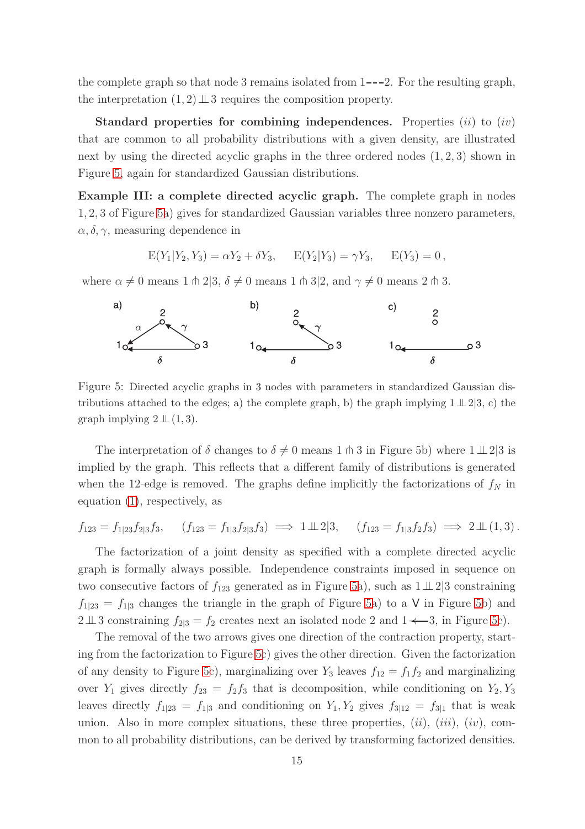the complete graph so that node 3 remains isolated from  $1--2$ . For the resulting graph, the interpretation  $(1, 2) \perp \!\!\! \perp 3$  requires the composition property.

Standard properties for combining independences. Properties  $(ii)$  to  $(iv)$ that are common to all probability distributions with a given density, are illustrated next by using the directed acyclic graphs in the three ordered nodes  $(1, 2, 3)$  shown in Figure [5,](#page-14-0) again for standardized Gaussian distributions.

Example III: a complete directed acyclic graph. The complete graph in nodes 1, 2, 3 of Figure [5a](#page-14-0)) gives for standardized Gaussian variables three nonzero parameters,  $\alpha, \delta, \gamma$ , measuring dependence in

$$
E(Y_1|Y_2, Y_3) = \alpha Y_2 + \delta Y_3, \quad E(Y_2|Y_3) = \gamma Y_3, \quad E(Y_3) = 0,
$$

where  $\alpha \neq 0$  means  $1 \oplus 2 \mid 3, \delta \neq 0$  means  $1 \oplus 3 \mid 2, \delta \neq 0$  means  $2 \oplus 3$ .



<span id="page-14-0"></span>Figure 5: Directed acyclic graphs in 3 nodes with parameters in standardized Gaussian distributions attached to the edges; a) the complete graph, b) the graph implying  $1 \perp 2|3$ , c) the graph implying  $2 \perp\!\!\!\perp (1,3)$ .

The interpretation of  $\delta$  changes to  $\delta \neq 0$  means  $1 \uparrow \delta 3$  in Figure 5b) where  $1 \perp 2 \uparrow 3$  is implied by the graph. This reflects that a different family of distributions is generated when the 12-edge is removed. The graphs define implicitly the factorizations of  $f_N$  in equation [\(1\)](#page-4-0), respectively, as

$$
f_{123} = f_{1|23} f_{2|3} f_3
$$
,  $(f_{123} = f_{1|3} f_{2|3} f_3) \implies 1 \perp 2 | 3$ ,  $(f_{123} = f_{1|3} f_2 f_3) \implies 2 \perp 1 (1, 3)$ .

The factorization of a joint density as specified with a complete directed acyclic graph is formally always possible. Independence constraints imposed in sequence on two consecutive factors of  $f_{123}$  generated as in Figure [5a](#page-14-0)), such as  $1 \perp 2/3$  constraining  $f_{1|23} = f_{1|3}$  changes the triangle in the graph of Figure [5a](#page-14-0)) to a V in Figure [5b](#page-14-0)) and 2  $\perp$  3 constraining  $f_{2|3} = f_2$  creates next an isolated node 2 and 1  $\leftarrow$  3, in Figure [5c](#page-14-0)).

The removal of the two arrows gives one direction of the contraction property, starting from the factorization to Figure [5c](#page-14-0)) gives the other direction. Given the factorization of any density to Figure [5c](#page-14-0)), marginalizing over  $Y_3$  leaves  $f_{12} = f_1 f_2$  and marginalizing over  $Y_1$  gives directly  $f_{23} = f_2 f_3$  that is decomposition, while conditioning on  $Y_2, Y_3$ leaves directly  $f_{1|23} = f_{1|3}$  and conditioning on  $Y_1, Y_2$  gives  $f_{3|12} = f_{3|1}$  that is weak union. Also in more complex situations, these three properties,  $(ii)$ ,  $(iii)$ ,  $(iv)$ , common to all probability distributions, can be derived by transforming factorized densities.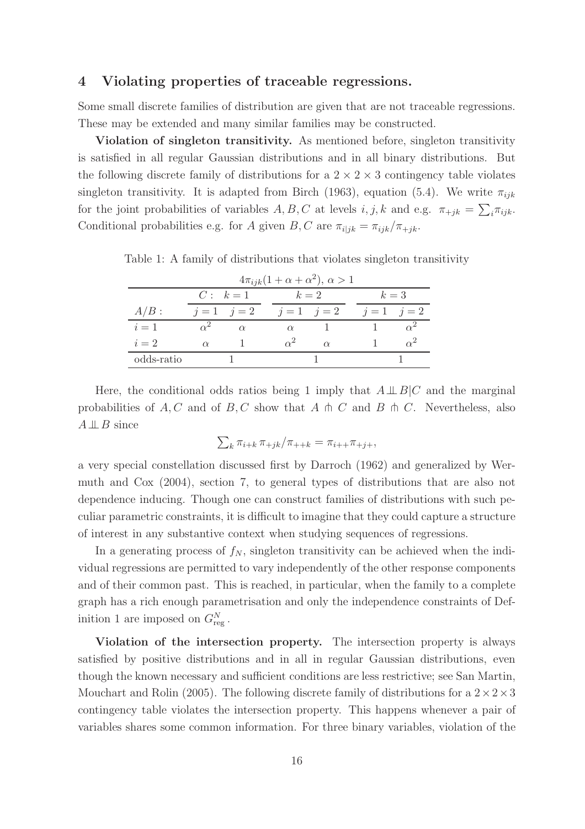### 4 Violating properties of traceable regressions.

Some small discrete families of distribution are given that are not traceable regressions. These may be extended and many similar families may be constructed.

Violation of singleton transitivity. As mentioned before, singleton transitivity is satisfied in all regular Gaussian distributions and in all binary distributions. But the following discrete family of distributions for a  $2 \times 2 \times 3$  contingency table violates singleton transitivity. It is adapted from Birch (1963), equation (5.4). We write  $\pi_{ijk}$ for the joint probabilities of variables  $A, B, C$  at levels  $i, j, k$  and e.g.  $\pi_{+jk} = \sum_i \pi_{ijk}$ . Conditional probabilities e.g. for A given  $B, C$  are  $\pi_{i|jk} = \pi_{ijk}/\pi_{+jk}$ .

| $4\pi_{ijk}(1+\alpha+\alpha^2), \alpha>1$ |            |                 |                 |          |  |       |                 |
|-------------------------------------------|------------|-----------------|-----------------|----------|--|-------|-----------------|
|                                           | $C: k=1$   |                 | $k=2$           |          |  | $k=3$ |                 |
| $A/B$ :                                   |            | $j = 1$ $j = 2$ | $j = 1$ $j = 2$ |          |  |       | $j = 1$ $j = 2$ |
| $i=1$                                     | $\alpha^2$ |                 | $\alpha$        |          |  |       |                 |
| $i=2$                                     | $\alpha$   |                 |                 | $\alpha$ |  |       |                 |
| odds-ratio                                |            |                 |                 |          |  |       |                 |

Table 1: A family of distributions that violates singleton transitivity

Here, the conditional odds ratios being 1 imply that  $A \perp\!\!\!\perp B/C$  and the marginal probabilities of A, C and of B, C show that A  $\Uparrow$  C and B  $\Uparrow$  C. Nevertheless, also  $A \perp\!\!\!\perp B$  since

$$
\sum_{k} \pi_{i+k} \pi_{+jk} / \pi_{++k} = \pi_{i++} \pi_{+j+},
$$

a very special constellation discussed first by Darroch (1962) and generalized by Wermuth and Cox (2004), section 7, to general types of distributions that are also not dependence inducing. Though one can construct families of distributions with such peculiar parametric constraints, it is difficult to imagine that they could capture a structure of interest in any substantive context when studying sequences of regressions.

In a generating process of  $f_N$ , singleton transitivity can be achieved when the individual regressions are permitted to vary independently of the other response components and of their common past. This is reached, in particular, when the family to a complete graph has a rich enough parametrisation and only the independence constraints of Definition 1 are imposed on  $G_{\text{reg}}^N$ .

Violation of the intersection property. The intersection property is always satisfied by positive distributions and in all in regular Gaussian distributions, even though the known necessary and sufficient conditions are less restrictive; see San Martin, Mouchart and Rolin (2005). The following discrete family of distributions for a  $2 \times 2 \times 3$ contingency table violates the intersection property. This happens whenever a pair of variables shares some common information. For three binary variables, violation of the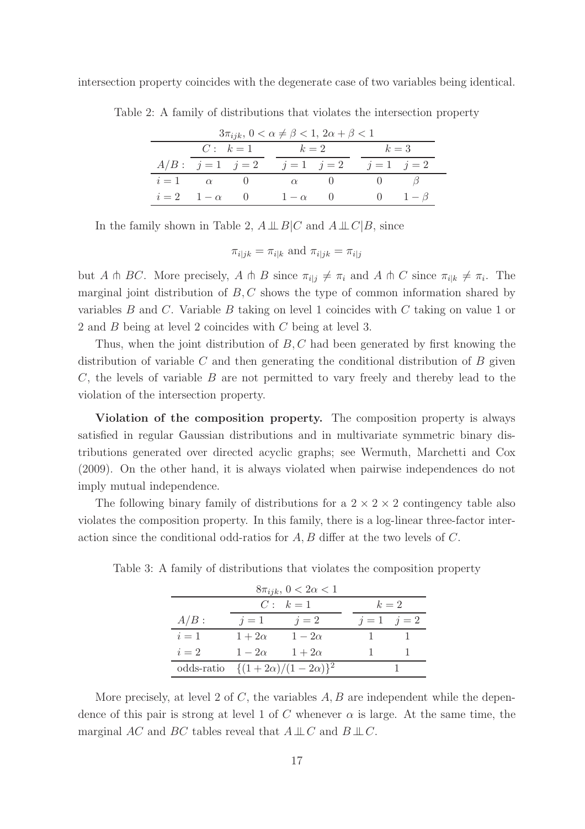intersection property coincides with the degenerate case of two variables being identical.

| $3\pi_{ijk}, 0 < \alpha \neq \beta < 1, 2\alpha + \beta < 1$ |  |  |                                                     |                            |  |  |  |
|--------------------------------------------------------------|--|--|-----------------------------------------------------|----------------------------|--|--|--|
|                                                              |  |  |                                                     | $C: k = 1$ $k = 2$ $k = 3$ |  |  |  |
|                                                              |  |  | $A/B: j=1 j=2 j=1 j=1 j=2 j=1 j=2$                  |                            |  |  |  |
|                                                              |  |  | $i=1$ $\alpha$ 0 $\alpha$ 0 0 $\beta$               |                            |  |  |  |
|                                                              |  |  | $i = 2$ $1 - \alpha$ 0 $1 - \alpha$ 0 0 $1 - \beta$ |                            |  |  |  |

Table 2: A family of distributions that violates the intersection property

In the family shown in Table 2,  $A \perp \!\!\!\perp B/C$  and  $A \perp \!\!\!\perp C/B$ , since

$$
\pi_{i|jk} = \pi_{i|k}
$$
 and 
$$
\pi_{i|jk} = \pi_{i|j}
$$

but A  $\Uparrow BC$ . More precisely, A  $\Uparrow B$  since  $\pi_{i|j} \neq \pi_i$  and A  $\Uparrow C$  since  $\pi_{i|k} \neq \pi_i$ . The marginal joint distribution of  $B, C$  shows the type of common information shared by variables B and C. Variable B taking on level 1 coincides with C taking on value 1 or 2 and B being at level 2 coincides with C being at level 3.

Thus, when the joint distribution of  $B, C$  had been generated by first knowing the distribution of variable  $C$  and then generating the conditional distribution of  $B$  given  $C$ , the levels of variable  $B$  are not permitted to vary freely and thereby lead to the violation of the intersection property.

Violation of the composition property. The composition property is always satisfied in regular Gaussian distributions and in multivariate symmetric binary distributions generated over directed acyclic graphs; see Wermuth, Marchetti and Cox (2009). On the other hand, it is always violated when pairwise independences do not imply mutual independence.

The following binary family of distributions for a  $2 \times 2 \times 2$  contingency table also violates the composition property. In this family, there is a log-linear three-factor interaction since the conditional odd-ratios for A, B differ at the two levels of C.

| $8\pi_{ijk}, 0 < 2\alpha < 1$ |             |                                            |       |                 |  |  |  |
|-------------------------------|-------------|--------------------------------------------|-------|-----------------|--|--|--|
|                               |             | $C: k=1$                                   | $k=2$ |                 |  |  |  |
| $A/B$ :                       | $j=1$       | $j=2$                                      |       | $j = 1$ $j = 2$ |  |  |  |
| $i=1$                         | $1+2\alpha$ | $1-2\alpha$                                |       |                 |  |  |  |
| $i=2$                         | $1-2\alpha$ | $1+2\alpha$                                |       |                 |  |  |  |
|                               |             | odds-ratio $\{(1+2\alpha)/(1-2\alpha)\}^2$ |       |                 |  |  |  |

Table 3: A family of distributions that violates the composition property

More precisely, at level 2 of  $C$ , the variables  $A, B$  are independent while the dependence of this pair is strong at level 1 of C whenever  $\alpha$  is large. At the same time, the marginal AC and BC tables reveal that  $A \perp\!\!\!\perp C$  and  $B \perp\!\!\!\perp C$ .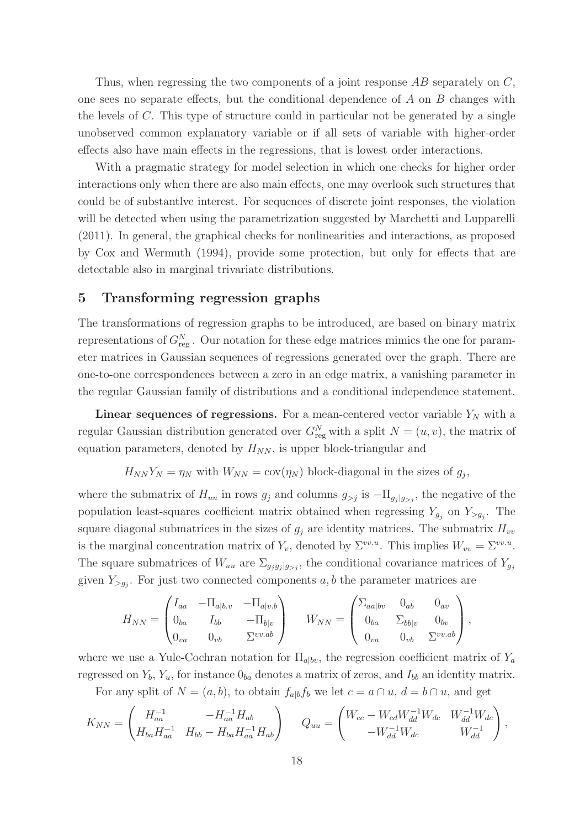Thus, when regressing the two components of a joint response AB separately on C, one sees no separate effects, but the conditional dependence of A on B changes with the levels of  $C$ . This type of structure could in particular not be generated by a single unobserved common explanatory variable or if all sets of variable with higher-order effects also have main effects in the regressions, that is lowest order interactions.

With a pragmatic strategy for model selection in which one checks for higher order interactions only when there are also main effects, one may overlook such structures that could be of substantlve interest. For sequences of discrete joint responses, the violation will be detected when using the parametrization suggested by Marchetti and Lupparelli (2011). In general, the graphical checks for nonlinearities and interactions, as proposed by Cox and Wermuth (1994), provide some protection, but only for effects that are detectable also in marginal trivariate distributions.

### 5 Transforming regression graphs

The transformations of regression graphs to be introduced, are based on binary matrix representations of  $G_{\text{reg}}^N$ . Our notation for these edge matrices mimics the one for parameter matrices in Gaussian sequences of regressions generated over the graph. There are one-to-one correspondences between a zero in an edge matrix, a vanishing parameter in the regular Gaussian family of distributions and a conditional independence statement.

**Linear sequences of regressions.** For a mean-centered vector variable  $Y_N$  with a regular Gaussian distribution generated over  $G_{reg}^N$  with a split  $N = (u, v)$ , the matrix of equation parameters, denoted by  $H_{NN}$ , is upper block-triangular and

$$
H_{NN}Y_N = \eta_N
$$
 with  $W_{NN} = \text{cov}(\eta_N)$  block-diagonal in the sizes of  $g_j$ ,

where the submatrix of  $H_{uu}$  in rows  $g_j$  and columns  $g_{>j}$  is  $-\Pi_{g_j | g_{>j}}$ , the negative of the population least-squares coefficient matrix obtained when regressing  $Y_{g_j}$  on  $Y_{>g_j}$ . The square diagonal submatrices in the sizes of  $g_j$  are identity matrices. The submatrix  $H_{vv}$ is the marginal concentration matrix of  $Y_v$ , denoted by  $\Sigma^{vv.u}$ . This implies  $W_{vv} = \Sigma^{vv.u}$ . The square submatrices of  $W_{uu}$  are  $\Sigma_{g_i g_j | g_{>i}}$ , the conditional covariance matrices of  $Y_{g_i}$ given  $Y_{>g_j}$ . For just two connected components a, b the parameter matrices are

$$
H_{NN} = \begin{pmatrix} I_{aa} & -\Pi_{a|b.v} & -\Pi_{a|v.b} \\ 0_{ba} & I_{bb} & -\Pi_{b|v} \\ 0_{va} & 0_{vb} & \Sigma^{vv.ab} \end{pmatrix} \qquad W_{NN} = \begin{pmatrix} \Sigma_{aa|bv} & 0_{ab} & 0_{av} \\ 0_{ba} & \Sigma_{bb|v} & 0_{bv} \\ 0_{va} & 0_{vb} & \Sigma^{vv.ab} \end{pmatrix},
$$

where we use a Yule-Cochran notation for  $\Pi_{a|bv}$ , the regression coefficient matrix of  $Y_a$ regressed on  $Y_b, Y_u$ , for instance  $0_{ba}$  denotes a matrix of zeros, and  $I_{bb}$  an identity matrix.

For any split of  $N = (a, b)$ , to obtain  $f_{a|b}f_b$  we let  $c = a \cap u$ ,  $d = b \cap u$ , and get

$$
K_{NN} = \begin{pmatrix} H_{aa}^{-1} & -H_{aa}^{-1} H_{ab} \\ H_{ba} H_{aa}^{-1} & H_{bb} - H_{ba} H_{aa}^{-1} H_{ab} \end{pmatrix} \qquad Q_{uu} = \begin{pmatrix} W_{cc} - W_{cd} W_{dd}^{-1} W_{dc} & W_{dd}^{-1} W_{dc} \\ -W_{dd}^{-1} W_{dc} & W_{dd}^{-1} \end{pmatrix},
$$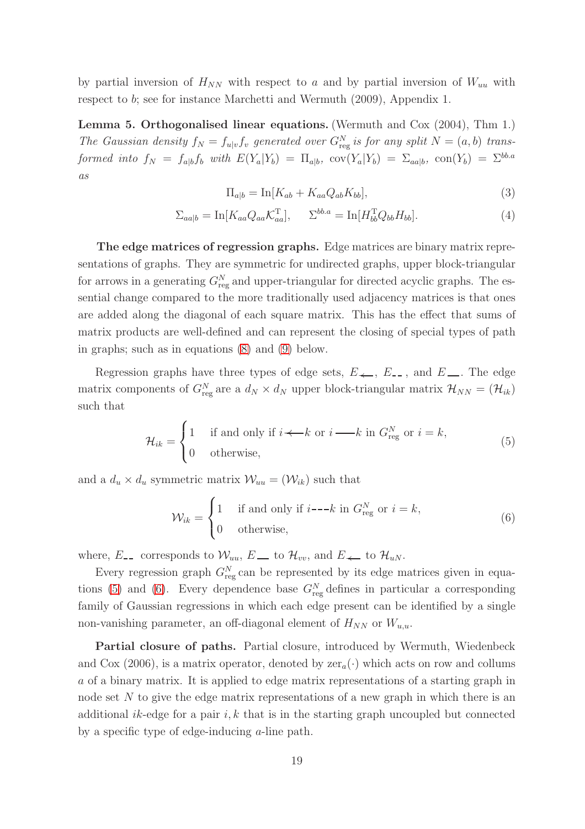by partial inversion of  $H_{NN}$  with respect to a and by partial inversion of  $W_{uu}$  with respect to b; see for instance Marchetti and Wermuth (2009), Appendix 1.

Lemma 5. Orthogonalised linear equations. (Wermuth and Cox (2004), Thm 1.) The Gaussian density  $f_N = f_{u|v} f_v$  generated over  $G_{reg}^N$  is for any split  $N = (a, b)$  trans*formed into*  $f_N = f_{a|b}f_b$  *with*  $E(Y_a|Y_b) = \prod_{a|b}$ ,  $cov(Y_a|Y_b) = \sum_{aa|b}$ ,  $con(Y_b) = \sum_{b|b}$ *as*

<span id="page-18-2"></span>
$$
\Pi_{a|b} = \ln[K_{ab} + K_{aa}Q_{ab}K_{bb}],\tag{3}
$$

<span id="page-18-3"></span>
$$
\Sigma_{aa|b} = \text{In}[K_{aa}Q_{aa}\mathcal{K}_{aa}^{\text{T}}], \qquad \Sigma^{bb.a} = \text{In}[H_{bb}^{\text{T}}Q_{bb}H_{bb}]. \tag{4}
$$

The edge matrices of regression graphs. Edge matrices are binary matrix representations of graphs. They are symmetric for undirected graphs, upper block-triangular for arrows in a generating  $G_{\text{reg}}^N$  and upper-triangular for directed acyclic graphs. The essential change compared to the more traditionally used adjacency matrices is that ones are added along the diagonal of each square matrix. This has the effect that sums of matrix products are well-defined and can represent the closing of special types of path in graphs; such as in equations [\(8\)](#page-20-0) and [\(9\)](#page-20-1) below.

Regression graphs have three types of edge sets,  $E_{\leftarrow}$ ,  $E_{\leftarrow}$ , and  $E_{\leftarrow}$ . The edge matrix components of  $G_{reg}^N$  are a  $d_N \times d_N$  upper block-triangular matrix  $\mathcal{H}_{NN} = (\mathcal{H}_{ik})$ such that

<span id="page-18-0"></span>
$$
\mathcal{H}_{ik} = \begin{cases} 1 & \text{if and only if } i \leftarrow k \text{ or } i \text{ or } i = k, \\ 0 & \text{otherwise,} \end{cases} \tag{5}
$$

and a  $d_u \times d_u$  symmetric matrix  $\mathcal{W}_{uu} = (\mathcal{W}_{ik})$  such that

<span id="page-18-1"></span>
$$
\mathcal{W}_{ik} = \begin{cases} 1 & \text{if and only if } i \text{---}k \text{ in } G_{\text{reg}}^N \text{ or } i = k, \\ 0 & \text{otherwise,} \end{cases} \tag{6}
$$

where, E<sub>-c</sub> corresponds to  $\mathcal{W}_{uu}$ , E<sub>c</sub> to  $\mathcal{H}_{vv}$ , and E<sub> $\leftarrow$ </sub> to  $\mathcal{H}_{uN}$ .

Every regression graph  $G_{\text{reg}}^N$  can be represented by its edge matrices given in equa-tions [\(5\)](#page-18-0) and [\(6\)](#page-18-1). Every dependence base  $G_{reg}^N$  defines in particular a corresponding family of Gaussian regressions in which each edge present can be identified by a single non-vanishing parameter, an off-diagonal element of  $H_{NN}$  or  $W_{u,u}$ .

Partial closure of paths. Partial closure, introduced by Wermuth, Wiedenbeck and Cox (2006), is a matrix operator, denoted by  $zer_{a}(\cdot)$  which acts on row and collums a of a binary matrix. It is applied to edge matrix representations of a starting graph in node set N to give the edge matrix representations of a new graph in which there is an additional ik-edge for a pair  $i, k$  that is in the starting graph uncoupled but connected by a specific type of edge-inducing a-line path.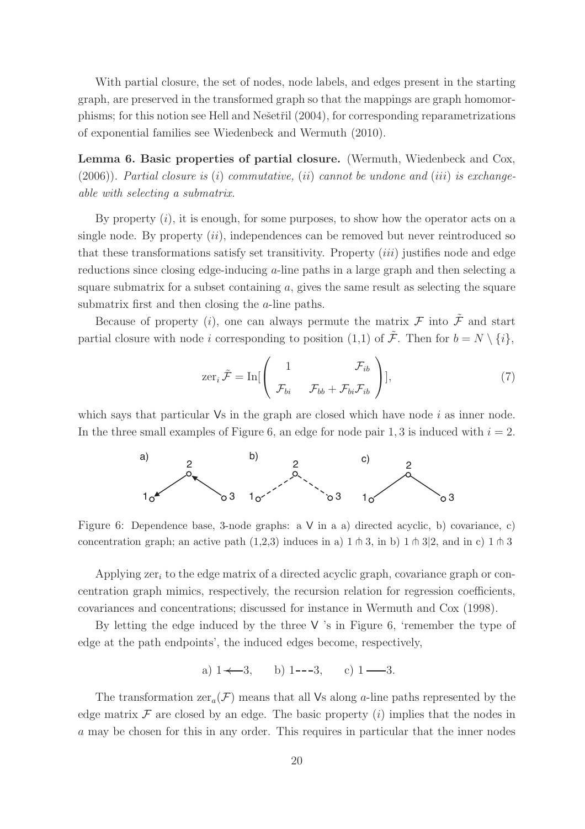With partial closure, the set of nodes, node labels, and edges present in the starting graph, are preserved in the transformed graph so that the mappings are graph homomorphisms; for this notion see Hell and Ne $\check{\text{setril}}$  (2004), for corresponding reparametrizations of exponential families see Wiedenbeck and Wermuth (2010).

Lemma 6. Basic properties of partial closure. (Wermuth, Wiedenbeck and Cox, (2006)). *Partial closure is* (i) *commutative,* (ii) *cannot be undone and* (iii) *is exchangeable with selecting a submatrix.*

By property  $(i)$ , it is enough, for some purposes, to show how the operator acts on a single node. By property  $(ii)$ , independences can be removed but never reintroduced so that these transformations satisfy set transitivity. Property  $(iii)$  justifies node and edge reductions since closing edge-inducing a-line paths in a large graph and then selecting a square submatrix for a subset containing  $a$ , gives the same result as selecting the square submatrix first and then closing the *a*-line paths.

Because of property (*i*), one can always permute the matrix F into  $\tilde{\mathcal{F}}$  and start partial closure with node i corresponding to position (1,1) of  $\tilde{\mathcal{F}}$ . Then for  $b = N \setminus \{i\}$ ,

$$
zer_i \tilde{\mathcal{F}} = \text{In}[\begin{pmatrix} 1 & \mathcal{F}_{ib} \\ \mathcal{F}_{bi} & \mathcal{F}_{bb} + \mathcal{F}_{bi} \mathcal{F}_{ib} \end{pmatrix}], \tag{7}
$$

which says that particular  $\vee$ s in the graph are closed which have node i as inner node. In the three small examples of Figure 6, an edge for node pair 1, 3 is induced with  $i = 2$ .



Figure 6: Dependence base, 3-node graphs: a  $V$  in a a) directed acyclic, b) covariance, c) concentration graph; an active path  $(1,2,3)$  induces in a)  $1 \oplus 3$ , in b)  $1 \oplus 3|2$ , and in c)  $1 \oplus 3$ 

Applying  $zer_i$  to the edge matrix of a directed acyclic graph, covariance graph or concentration graph mimics, respectively, the recursion relation for regression coefficients, covariances and concentrations; discussed for instance in Wermuth and Cox (1998).

By letting the edge induced by the three  $V$  's in Figure 6, 'remember the type of edge at the path endpoints', the induced edges become, respectively,

a) 
$$
1 \leftarrow 3
$$
, b)  $1 \leftarrow -3$ , c)  $1 \leftarrow -3$ .

The transformation  $zer_{a}(\mathcal{F})$  means that all Vs along a-line paths represented by the edge matrix  $\mathcal F$  are closed by an edge. The basic property *(i)* implies that the nodes in a may be chosen for this in any order. This requires in particular that the inner nodes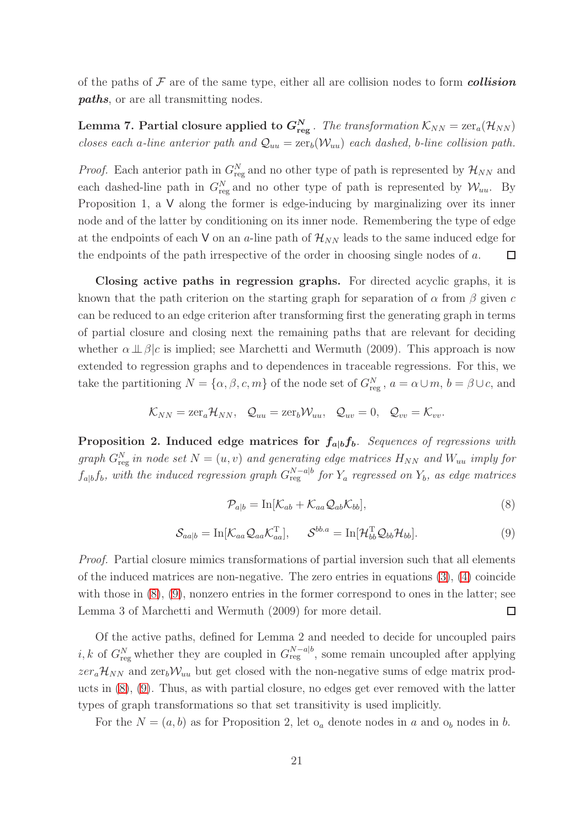of the paths of  $\mathcal F$  are of the same type, either all are collision nodes to form **collision** paths, or are all transmitting nodes.

Lemma 7. Partial closure applied to  $G_{\text{reg}}^N$  *. The transformation*  $\mathcal{K}_{NN} = \text{zer}_a(\mathcal{H}_{NN})$ *closes each a-line anterior path and*  $\mathcal{Q}_{uu} = \text{zer}_b(\mathcal{W}_{uu})$  *each dashed, b-line collision path.* 

*Proof.* Each anterior path in  $G_{reg}^N$  and no other type of path is represented by  $\mathcal{H}_{NN}$  and each dashed-line path in  $G_{reg}^N$  and no other type of path is represented by  $\mathcal{W}_{uu}$ . By Proposition 1, a V along the former is edge-inducing by marginalizing over its inner node and of the latter by conditioning on its inner node. Remembering the type of edge at the endpoints of each V on an a-line path of  $\mathcal{H}_{NN}$  leads to the same induced edge for the endpoints of the path irrespective of the order in choosing single nodes of a.  $\Box$ 

Closing active paths in regression graphs. For directed acyclic graphs, it is known that the path criterion on the starting graph for separation of  $\alpha$  from  $\beta$  given c can be reduced to an edge criterion after transforming first the generating graph in terms of partial closure and closing next the remaining paths that are relevant for deciding whether  $\alpha \perp \beta | c$  is implied; see Marchetti and Wermuth (2009). This approach is now extended to regression graphs and to dependences in traceable regressions. For this, we take the partitioning  $N = \{\alpha, \beta, c, m\}$  of the node set of  $G_{reg}^N$ ,  $a = \alpha \cup m$ ,  $b = \beta \cup c$ , and

$$
\mathcal{K}_{NN} = \text{zer}_{a} \mathcal{H}_{NN}, \quad \mathcal{Q}_{uu} = \text{zer}_{b} \mathcal{W}_{uu}, \quad \mathcal{Q}_{uv} = 0, \quad \mathcal{Q}_{vv} = \mathcal{K}_{vv}.
$$

Proposition 2. Induced edge matrices for  $f_{a|b}f_{b}$ . Sequences of regressions with *graph*  $G_{reg}^N$  *in node set*  $N = (u, v)$  *and generating edge matrices*  $H_{NN}$  *and*  $W_{uu}$  *imply for*  $f_{a|b}f_b$ , with the induced regression graph  $G_{\text{reg}}^{N-a|b}$  for  $Y_a$  regressed on  $Y_b$ , as edge matrices

<span id="page-20-0"></span>
$$
\mathcal{P}_{a|b} = \text{In}[\mathcal{K}_{ab} + \mathcal{K}_{aa} \mathcal{Q}_{ab} \mathcal{K}_{bb}],
$$
\n(8)

<span id="page-20-1"></span>
$$
S_{aa|b} = \ln[\mathcal{K}_{aa}\mathcal{Q}_{aa}\mathcal{K}_{aa}^{\mathrm{T}}], \quad S^{bb.a} = \ln[\mathcal{H}_{bb}^{\mathrm{T}}\mathcal{Q}_{bb}\mathcal{H}_{bb}]. \tag{9}
$$

*Proof.* Partial closure mimics transformations of partial inversion such that all elements of the induced matrices are non-negative. The zero entries in equations [\(3\)](#page-18-2), [\(4\)](#page-18-3) coincide with those in [\(8\)](#page-20-0), [\(9\)](#page-20-1), nonzero entries in the former correspond to ones in the latter; see Lemma 3 of Marchetti and Wermuth (2009) for more detail.  $\Box$ 

Of the active paths, defined for Lemma 2 and needed to decide for uncoupled pairs i, k of  $G_{reg}^N$  whether they are coupled in  $G_{reg}^{N-a|b}$ , some remain uncoupled after applying  $zer_{a}H_{NN}$  and  $zer_{b}W_{uu}$  but get closed with the non-negative sums of edge matrix products in [\(8\)](#page-20-0), [\(9\)](#page-20-1). Thus, as with partial closure, no edges get ever removed with the latter types of graph transformations so that set transitivity is used implicitly.

For the  $N = (a, b)$  as for Proposition 2, let  $o_a$  denote nodes in a and  $o_b$  nodes in b.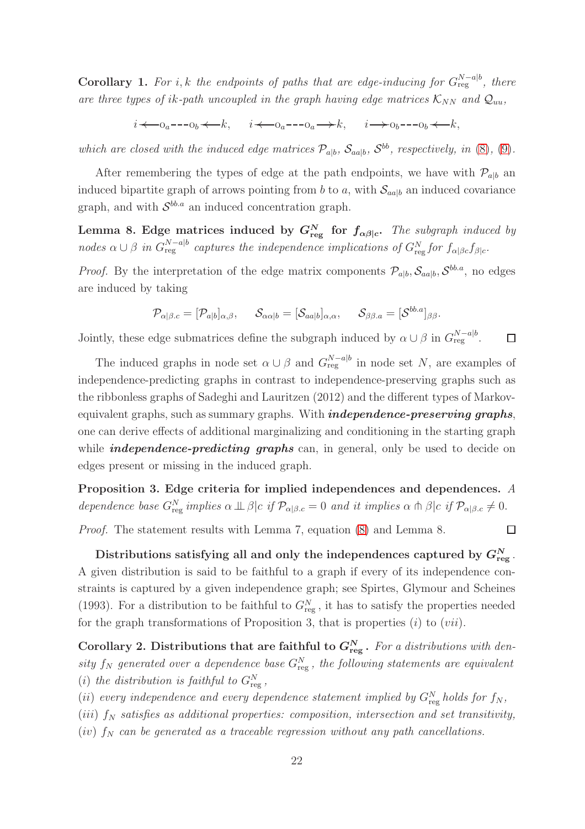**Corollary 1.** For i, k the endpoints of paths that are edge-inducing for  $G_{\text{reg}}^{N-a|b}$ , there are three types of ik-path uncoupled in the graph having edge matrices  $\mathcal{K}_{NN}$  and  $\mathcal{Q}_{uu}$ ,

 $i \leftarrow o_a \cdots o_b \leftarrow k, \quad i \leftarrow o_a \cdots o_a \rightarrow k, \quad i \rightarrow o_b \cdots o_b \leftarrow k,$ 

which are closed with the induced edge matrices  $\mathcal{P}_{a|b}$ ,  $\mathcal{S}_{aa|b}$ ,  $\mathcal{S}^{bb}$ , respectively, in [\(8\)](#page-20-0), [\(9\)](#page-20-1).

After remembering the types of edge at the path endpoints, we have with  $\mathcal{P}_{a|b}$  an induced bipartite graph of arrows pointing from b to a, with  $S_{aa|b}$  an induced covariance graph, and with  $\mathcal{S}^{bb.a}$  an induced concentration graph.

Lemma 8. Edge matrices induced by  $G_{reg}^N$  for  $f_{\alpha\beta|c}$ . *The subgraph induced by nodes*  $\alpha \cup \beta$  *in*  $G_{\text{reg}}^{N-a|b}$  captures the independence implications of  $G_{\text{reg}}^{N}$  for  $f_{\alpha|\beta c}f_{\beta|c}$ .

*Proof.* By the interpretation of the edge matrix components  $\mathcal{P}_{a|b}$ ,  $\mathcal{S}_{aa|b}$ ,  $\mathcal{S}^{bb.a}$ , no edges are induced by taking

$$
\mathcal{P}_{\alpha|\beta.c}=[\mathcal{P}_{a|b}]_{\alpha,\beta},\hspace{0.5cm}\mathcal{S}_{\alpha\alpha|b}=[\mathcal{S}_{aa|b}]_{\alpha,\alpha},\hspace{0.5cm}\mathcal{S}_{\beta\beta.a}=[\mathcal{S}^{bb.a}]_{\beta\beta}.
$$

Jointly, these edge submatrices define the subgraph induced by  $\alpha \cup \beta$  in  $G_{\text{reg}}^{N-a|b}$ .  $\Box$ 

The induced graphs in node set  $\alpha \cup \beta$  and  $G_{reg}^{N-a|b}$  in node set N, are examples of independence-predicting graphs in contrast to independence-preserving graphs such as the ribbonless graphs of Sadeghi and Lauritzen (2012) and the different types of Markovequivalent graphs, such as summary graphs. With *independence-preserving graphs*, one can derive effects of additional marginalizing and conditioning in the starting graph while *independence-predicting graphs* can, in general, only be used to decide on edges present or missing in the induced graph.

Proposition 3. Edge criteria for implied independences and dependences. *A dependence base*  $G_{\text{reg}}^N$  *implies*  $\alpha \perp \beta$  |c *if*  $\mathcal{P}_{\alpha|\beta,c} = 0$  *and it implies*  $\alpha \pitchfork \beta$  |c *if*  $\mathcal{P}_{\alpha|\beta,c} \neq 0$ .

*Proof.* The statement results with Lemma 7, equation [\(8\)](#page-20-0) and Lemma 8.

Distributions satisfying all and only the independences captured by  $G^N_{\text{reg}}$  . A given distribution is said to be faithful to a graph if every of its independence constraints is captured by a given independence graph; see Spirtes, Glymour and Scheines (1993). For a distribution to be faithful to  $G_{\text{reg}}^{N}$ , it has to satisfy the properties needed for the graph transformations of Proposition 3, that is properties  $(i)$  to  $(vii)$ .

Corollary 2. Distributions that are faithful to  $G_{\text{reg}}^N$ . For a distributions with den $sity$   $f_N$  generated over a dependence base  $G_{\text{reg}}^N$ , the following statements are equivalent (*i*) the distribution is faithful to  $G_{\text{reg}}^N$ ,

(*ii*) *every independence and every dependence statement implied by*  $G_{\text{reg}}^N$  holds for  $f_N$ ,

(iii)  $f_N$  satisfies as additional properties: composition, intersection and set transitivity,

 $(iv)$   $f_N$  can be generated as a traceable regression without any path cancellations.

 $\Box$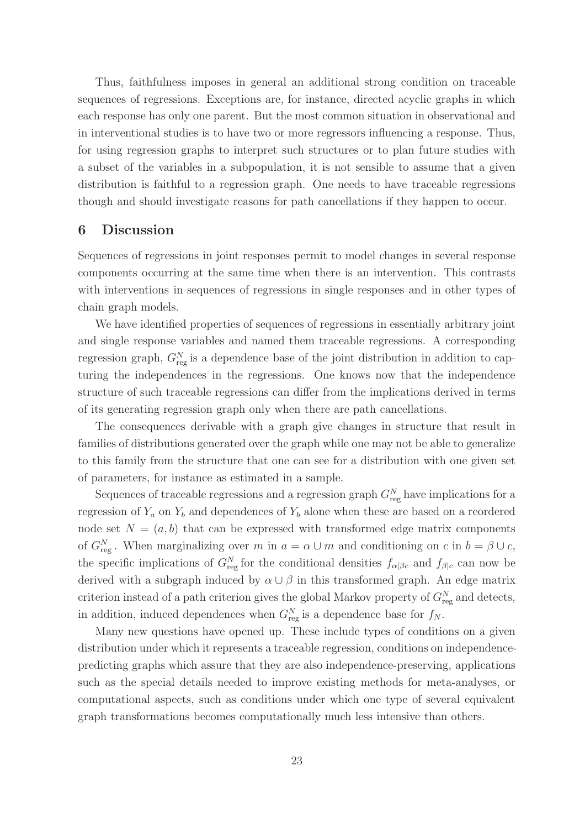Thus, faithfulness imposes in general an additional strong condition on traceable sequences of regressions. Exceptions are, for instance, directed acyclic graphs in which each response has only one parent. But the most common situation in observational and in interventional studies is to have two or more regressors influencing a response. Thus, for using regression graphs to interpret such structures or to plan future studies with a subset of the variables in a subpopulation, it is not sensible to assume that a given distribution is faithful to a regression graph. One needs to have traceable regressions though and should investigate reasons for path cancellations if they happen to occur.

### 6 Discussion

Sequences of regressions in joint responses permit to model changes in several response components occurring at the same time when there is an intervention. This contrasts with interventions in sequences of regressions in single responses and in other types of chain graph models.

We have identified properties of sequences of regressions in essentially arbitrary joint and single response variables and named them traceable regressions. A corresponding regression graph,  $G_{reg}^{N}$  is a dependence base of the joint distribution in addition to capturing the independences in the regressions. One knows now that the independence structure of such traceable regressions can differ from the implications derived in terms of its generating regression graph only when there are path cancellations.

The consequences derivable with a graph give changes in structure that result in families of distributions generated over the graph while one may not be able to generalize to this family from the structure that one can see for a distribution with one given set of parameters, for instance as estimated in a sample.

Sequences of traceable regressions and a regression graph  $G_{\text{reg}}^N$  have implications for a regression of  $Y_a$  on  $Y_b$  and dependences of  $Y_b$  alone when these are based on a reordered node set  $N = (a, b)$  that can be expressed with transformed edge matrix components of  $G_{\text{reg}}^N$ . When marginalizing over m in  $a = \alpha \cup m$  and conditioning on c in  $b = \beta \cup c$ , the specific implications of  $G_{reg}^N$  for the conditional densities  $f_{\alpha|\beta c}$  and  $f_{\beta|c}$  can now be derived with a subgraph induced by  $\alpha \cup \beta$  in this transformed graph. An edge matrix criterion instead of a path criterion gives the global Markov property of  $G_{\text{reg}}^N$  and detects, in addition, induced dependences when  $G_{reg}^N$  is a dependence base for  $f_N$ .

Many new questions have opened up. These include types of conditions on a given distribution under which it represents a traceable regression, conditions on independencepredicting graphs which assure that they are also independence-preserving, applications such as the special details needed to improve existing methods for meta-analyses, or computational aspects, such as conditions under which one type of several equivalent graph transformations becomes computationally much less intensive than others.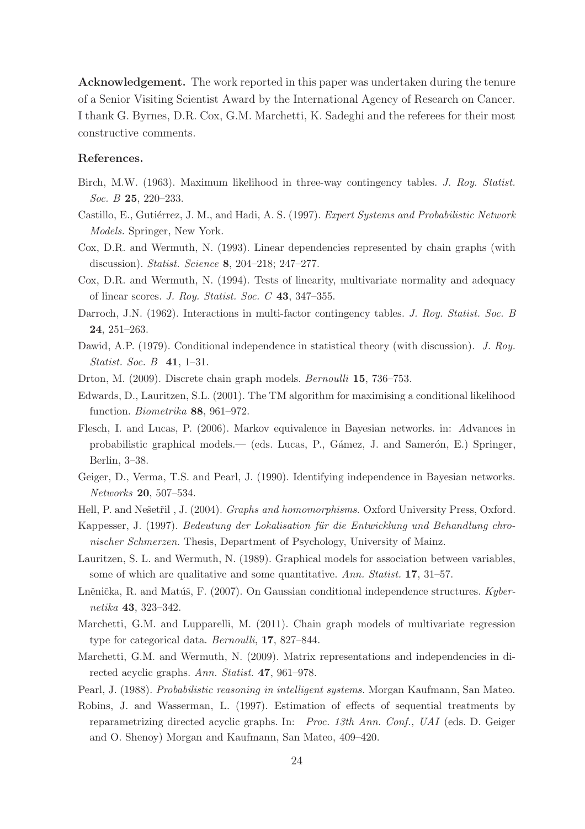Acknowledgement. The work reported in this paper was undertaken during the tenure of a Senior Visiting Scientist Award by the International Agency of Research on Cancer. I thank G. Byrnes, D.R. Cox, G.M. Marchetti, K. Sadeghi and the referees for their most constructive comments.

#### References.

- Birch, M.W. (1963). Maximum likelihood in three-way contingency tables. *J. Roy. Statist. Soc. B* 25, 220–233.
- Castillo, E., Gutiérrez, J. M., and Hadi, A. S. (1997). *Expert Systems and Probabilistic Network Models.* Springer, New York.
- Cox, D.R. and Wermuth, N. (1993). Linear dependencies represented by chain graphs (with discussion). *Statist. Science* 8, 204–218; 247–277.
- Cox, D.R. and Wermuth, N. (1994). Tests of linearity, multivariate normality and adequacy of linear scores. *J. Roy. Statist. Soc. C* 43, 347–355.
- Darroch, J.N. (1962). Interactions in multi-factor contingency tables. *J. Roy. Statist. Soc. B* 24, 251–263.
- Dawid, A.P. (1979). Conditional independence in statistical theory (with discussion). *J. Roy. Statist. Soc. B* 41, 1–31.
- Drton, M. (2009). Discrete chain graph models. *Bernoulli* 15, 736–753.
- Edwards, D., Lauritzen, S.L. (2001). The TM algorithm for maximising a conditional likelihood function. *Biometrika* 88, 961–972.
- Flesch, I. and Lucas, P. (2006). Markov equivalence in Bayesian networks. in: *A*dvances in probabilistic graphical models.— (eds. Lucas, P., Gámez, J. and Samerón, E.) Springer, Berlin, 3–38.
- Geiger, D., Verma, T.S. and Pearl, J. (1990). Identifying independence in Bayesian networks. *Networks* 20, 507–534.
- Hell, P. and Nešetřil, J. (2004). *Graphs and homomorphisms*. Oxford University Press, Oxford.
- Kappesser, J. (1997). *Bedeutung der Lokalisation für die Entwicklung und Behandlung chronischer Schmerzen.* Thesis, Department of Psychology, University of Mainz.
- Lauritzen, S. L. and Wermuth, N. (1989). Graphical models for association between variables, some of which are qualitative and some quantitative. *Ann. Statist.* 17, 31–57.
- Lněnička, R. and Matúš, F. (2007). On Gaussian conditional independence structures. *Kybernetika* 43, 323–342.
- Marchetti, G.M. and Lupparelli, M. (2011). Chain graph models of multivariate regression type for categorical data. *Bernoulli*, 17, 827–844.
- Marchetti, G.M. and Wermuth, N. (2009). Matrix representations and independencies in directed acyclic graphs. *Ann. Statist.* 47, 961–978.
- Pearl, J. (1988). *Probabilistic reasoning in intelligent systems.* Morgan Kaufmann, San Mateo.
- Robins, J. and Wasserman, L. (1997). Estimation of effects of sequential treatments by reparametrizing directed acyclic graphs. In: *Proc. 13th Ann. Conf., UAI* (eds. D. Geiger and O. Shenoy) Morgan and Kaufmann, San Mateo, 409–420.